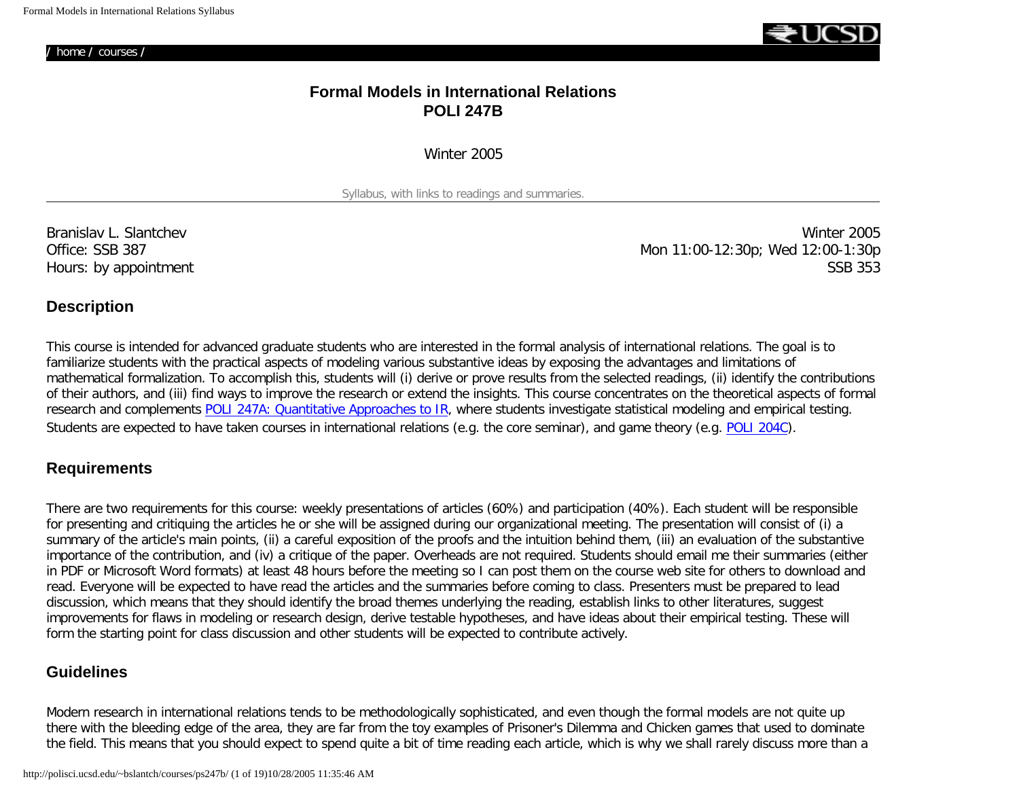**/** [home](http://polisci.ucsd.edu/~bslantch/) **/** [courses](http://polisci.ucsd.edu/~bslantch/courses/) **/** 



# **Formal Models in International Relations POLI 247B**

Winter 2005

Syllabus, with links to readings and summaries.

Branislav L. Slantchev Winter 2005 Office: SSB 387 Mon 11:00-12:30p; Wed 12:00-1:30p Hours: by appointment SSB 353

### **Description**

This course is intended for advanced graduate students who are interested in the formal analysis of international relations. The goal is to familiarize students with the practical aspects of modeling various substantive ideas by exposing the advantages and limitations of mathematical formalization. To accomplish this, students will (i) derive or prove results from the selected readings, (ii) identify the contributions of their authors, and (iii) find ways to improve the research or extend the insights. This course concentrates on the theoretical aspects of formal research and complements [POLI 247A: Quantitative Approaches to IR](http://weber.ucsd.edu/~kgledits/papers/ps247a_syl.pdf), where students investigate statistical modeling and empirical testing. Students are expected to have taken courses in international relations (e.g. the core seminar), and game theory (e.g. [POLI 204C](http://polisci.ucsd.edu/~bslantch/courses/gt/)).

## **Requirements**

There are two requirements for this course: weekly presentations of articles (60%) and participation (40%). Each student will be responsible for presenting and critiquing the articles he or she will be assigned during our organizational meeting. The presentation will consist of (i) a summary of the article's main points, (ii) a careful exposition of the proofs and the intuition behind them, (iii) an evaluation of the substantive importance of the contribution, and (iv) a critique of the paper. Overheads are not required. Students should email me their summaries (either in PDF or Microsoft Word formats) at least 48 hours before the meeting so I can post them on the course web site for others to download and read. Everyone will be expected to have read the articles and the summaries before coming to class. Presenters must be prepared to lead discussion, which means that they should identify the broad themes underlying the reading, establish links to other literatures, suggest improvements for flaws in modeling or research design, derive testable hypotheses, and have ideas about their empirical testing. These will form the starting point for class discussion and other students will be expected to contribute actively.

# **Guidelines**

Modern research in international relations tends to be methodologically sophisticated, and even though the formal models are not quite up there with the bleeding edge of the area, they are far from the toy examples of Prisoner's Dilemma and Chicken games that used to dominate the field. This means that you should expect to spend quite a bit of time reading each article, which is why we shall rarely discuss more than a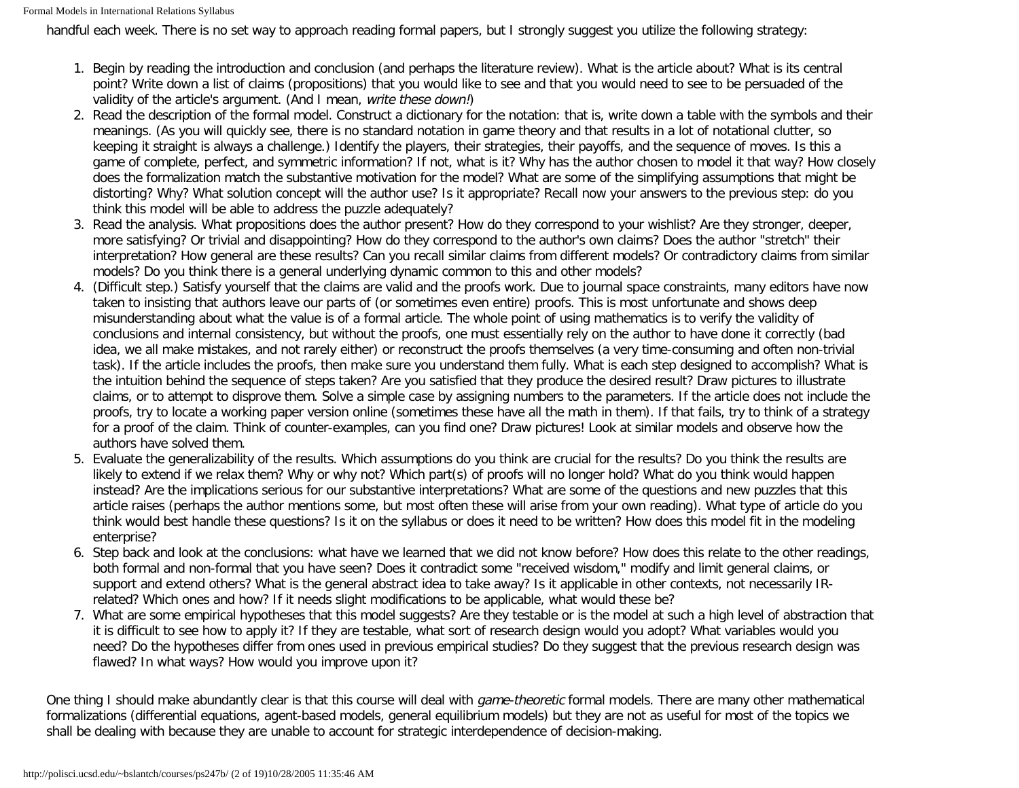handful each week. There is no set way to approach reading formal papers, but I strongly suggest you utilize the following strategy:

- 1. Begin by reading the introduction and conclusion (and perhaps the literature review). What is the article about? What is its central point? Write down a list of claims (propositions) that you would like to see and that you would need to see to be persuaded of the validity of the article's argument. (And I mean, write these down!)
- 2. Read the description of the formal model. Construct a dictionary for the notation: that is, write down a table with the symbols and their meanings. (As you will quickly see, there is no standard notation in game theory and that results in a lot of notational clutter, so keeping it straight is always a challenge.) Identify the players, their strategies, their payoffs, and the sequence of moves. Is this a game of complete, perfect, and symmetric information? If not, what is it? Why has the author chosen to model it that way? How closely does the formalization match the substantive motivation for the model? What are some of the simplifying assumptions that might be distorting? Why? What solution concept will the author use? Is it appropriate? Recall now your answers to the previous step: do you think this model will be able to address the puzzle adequately?
- 3. Read the analysis. What propositions does the author present? How do they correspond to your wishlist? Are they stronger, deeper, more satisfying? Or trivial and disappointing? How do they correspond to the author's own claims? Does the author "stretch" their interpretation? How general are these results? Can you recall similar claims from different models? Or contradictory claims from similar models? Do you think there is a general underlying dynamic common to this and other models?
- 4. (Difficult step.) Satisfy yourself that the claims are valid and the proofs work. Due to journal space constraints, many editors have now taken to insisting that authors leave our parts of (or sometimes even entire) proofs. This is most unfortunate and shows deep misunderstanding about what the value is of a formal article. The whole point of using mathematics is to verify the validity of conclusions and internal consistency, but without the proofs, one must essentially rely on the author to have done it correctly (bad idea, we all make mistakes, and not rarely either) or reconstruct the proofs themselves (a very time-consuming and often non-trivial task). If the article includes the proofs, then make sure you understand them fully. What is each step designed to accomplish? What is the intuition behind the sequence of steps taken? Are you satisfied that they produce the desired result? Draw pictures to illustrate claims, or to attempt to disprove them. Solve a simple case by assigning numbers to the parameters. If the article does not include the proofs, try to locate a working paper version online (sometimes these have all the math in them). If that fails, try to think of a strategy for a proof of the claim. Think of counter-examples, can you find one? Draw pictures! Look at similar models and observe how the authors have solved them.
- 5. Evaluate the generalizability of the results. Which assumptions do you think are crucial for the results? Do you think the results are likely to extend if we relax them? Why or why not? Which part(s) of proofs will no longer hold? What do you think would happen instead? Are the implications serious for our substantive interpretations? What are some of the questions and new puzzles that this article raises (perhaps the author mentions some, but most often these will arise from your own reading). What type of article do you think would best handle these questions? Is it on the syllabus or does it need to be written? How does this model fit in the modeling enterprise?
- 6. Step back and look at the conclusions: what have we learned that we did not know before? How does this relate to the other readings, both formal and non-formal that you have seen? Does it contradict some "received wisdom," modify and limit general claims, or support and extend others? What is the general abstract idea to take away? Is it applicable in other contexts, not necessarily IRrelated? Which ones and how? If it needs slight modifications to be applicable, what would these be?
- 7. What are some empirical hypotheses that this model suggests? Are they testable or is the model at such a high level of abstraction that it is difficult to see how to apply it? If they are testable, what sort of research design would you adopt? What variables would you need? Do the hypotheses differ from ones used in previous empirical studies? Do they suggest that the previous research design was flawed? In what ways? How would you improve upon it?

One thing I should make abundantly clear is that this course will deal with *game-theoretic* formal models. There are many other mathematical formalizations (differential equations, agent-based models, general equilibrium models) but they are not as useful for most of the topics we shall be dealing with because they are unable to account for strategic interdependence of decision-making.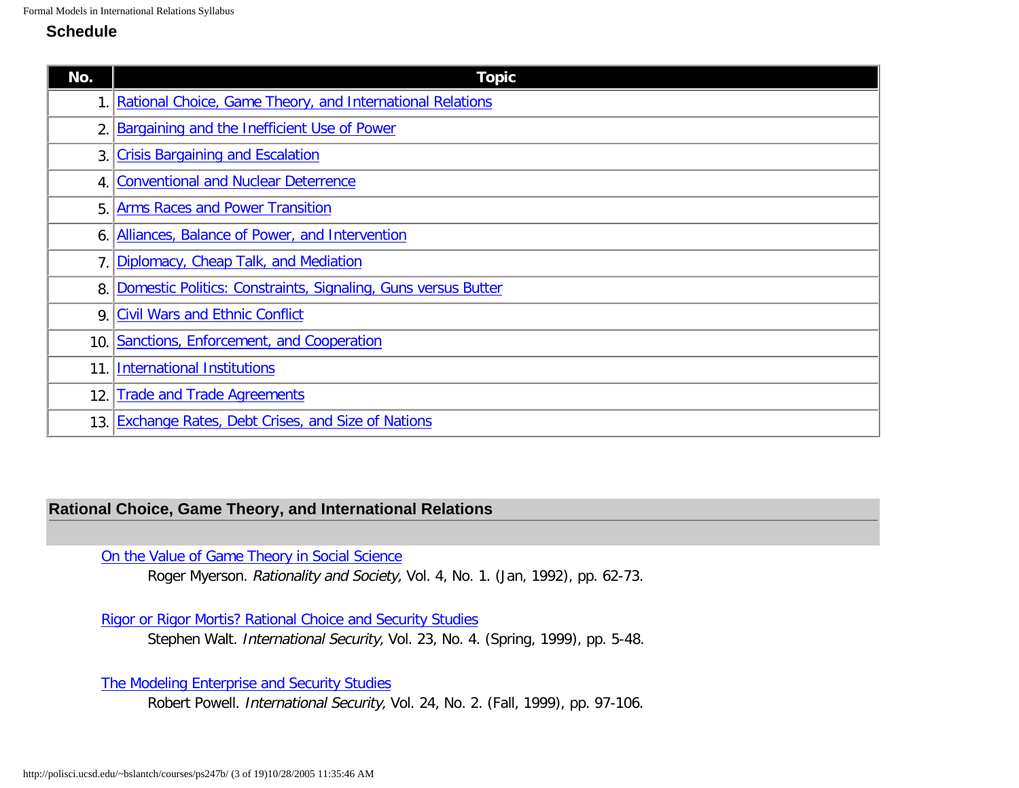## **Schedule**

| No. | <b>Topic</b>                                                     |
|-----|------------------------------------------------------------------|
|     | Rational Choice, Game Theory, and International Relations        |
|     | Bargaining and the Inefficient Use of Power                      |
|     | 3. Crisis Bargaining and Escalation                              |
|     | 4. Conventional and Nuclear Deterrence                           |
| 5.  | <b>Arms Races and Power Transition</b>                           |
| 6.  | Alliances, Balance of Power, and Intervention                    |
|     | 7. Diplomacy, Cheap Talk, and Mediation                          |
|     | 8. Domestic Politics: Constraints, Signaling, Guns versus Butter |
|     | 9. Civil Wars and Ethnic Conflict                                |
| 10. | Sanctions, Enforcement, and Cooperation                          |
| 11  | <b>International Institutions</b>                                |
| 12. | <b>Trade and Trade Agreements</b>                                |
| 13. | <b>Exchange Rates, Debt Crises, and Size of Nations</b>          |

# <span id="page-2-0"></span>**Rational Choice, Game Theory, and International Relations**

### [On the Value of Game Theory in Social Science](http://polisci.ucsd.edu/~bslantch/courses/pdf/myerson-ras1992v4n1.pdf)

Roger Myerson. Rationality and Society, Vol. 4, No. 1. (Jan, 1992), pp. 62-73.

[Rigor or Rigor Mortis? Rational Choice and Security Studies](http://polisci.ucsd.edu/~bslantch/courses/pdf/walt-is1999v23n1.pdf)

Stephen Walt. International Security, Vol. 23, No. 4. (Spring, 1999), pp. 5-48.

[The Modeling Enterprise and Security Studies](http://polisci.ucsd.edu/~bslantch/courses/pdf/powell-is1999v24n2.pdf)

Robert Powell. International Security, Vol. 24, No. 2. (Fall, 1999), pp. 97-106.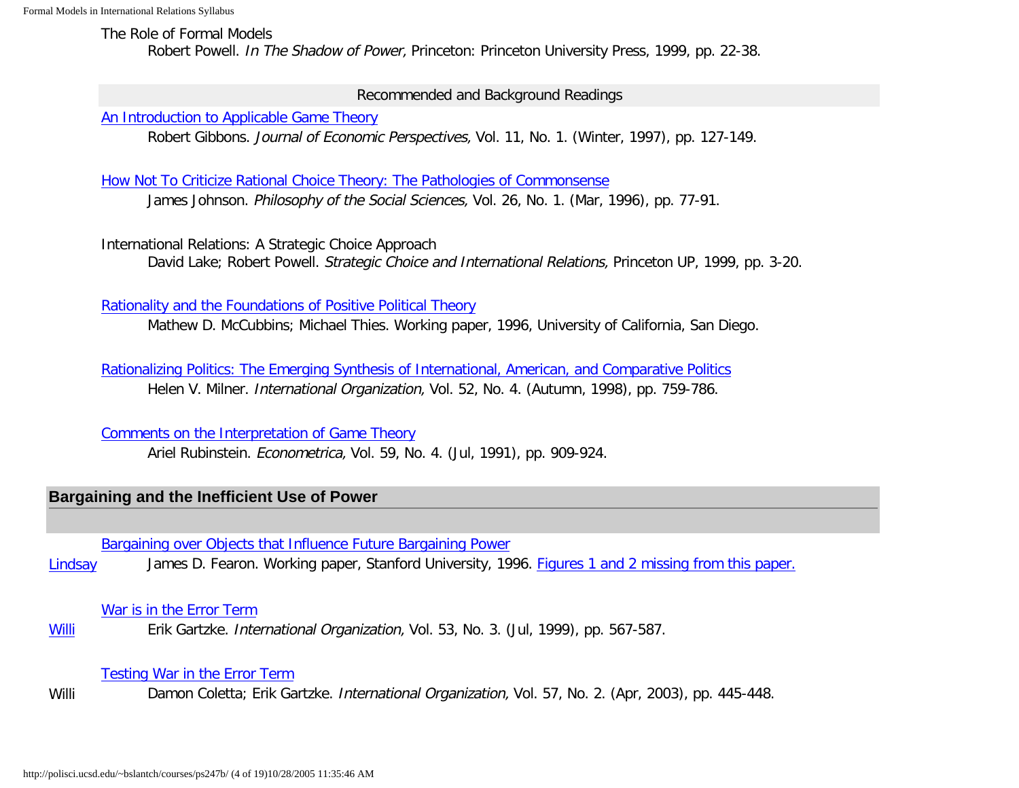The Role of Formal Models

Robert Powell. In The Shadow of Power, Princeton: Princeton University Press, 1999, pp. 22-38.

Recommended and Background Readings

[An Introduction to Applicable Game Theory](http://links.jstor.org/sici?sici=0895-3309%28199724%2911%3A1%3C127%3AAITAGT%3E2.0.CO%3B2-D)

Robert Gibbons. Journal of Economic Perspectives, Vol. 11, No. 1. (Winter, 1997), pp. 127-149.

[How Not To Criticize Rational Choice Theory: The Pathologies of Commonsense](http://polisci.ucsd.edu/~bslantch/courses/pdf/johnson-pss1996v26n1.pdf)

James Johnson. Philosophy of the Social Sciences, Vol. 26, No. 1. (Mar, 1996), pp. 77-91.

International Relations: A Strategic Choice Approach David Lake; Robert Powell. Strategic Choice and International Relations, Princeton UP, 1999, pp. 3-20.

[Rationality and the Foundations of Positive Political Theory](http://polisci.ucsd.edu/~bslantch/courses/pdf/mccubbins-rationality.pdf)

Mathew D. McCubbins; Michael Thies. Working paper, 1996, University of California, San Diego.

[Rationalizing Politics: The Emerging Synthesis of International, American, and Comparative Politics](http://links.jstor.org/sici?sici=0020-8183%28199823%2952%3A4%3C759%3ARPTESO%3E2.0.CO%3B2-M) Helen V. Milner. International Organization, Vol. 52, No. 4. (Autumn, 1998), pp. 759-786.

[Comments on the Interpretation of Game Theory](http://links.jstor.org/sici?sici=0012-9682%28199107%2959%3A4%3C909%3ACOTIOG%3E2.0.CO%3B2-O)

Ariel Rubinstein. Econometrica, Vol. 59, No. 4. (Jul, 1991), pp. 909-924.

# <span id="page-3-0"></span>**Bargaining and the Inefficient Use of Power**

[Bargaining over Objects that Influence Future Bargaining Power](http://polisci.ucsd.edu/~bslantch/courses/pdf/fearon-objects.pdf)

[Lindsay](http://polisci.ucsd.edu/~bslantch/courses/ps247b/synopses/fearon-objects.pdf) James D. Fearon. Working paper, Stanford University, 1996. [Figures 1 and 2 missing from this paper.](http://polisci.ucsd.edu/~bslantch/courses/pdf/fearon-objects-figures.pdf)

## [War is in the Error Term](http://www.ingentaconnect.com/content/mitpress/io/1999/00000053/00000003/art00006)

**[Willi](http://polisci.ucsd.edu/~bslantch/courses/ps247b/synopses/gartzke-war-error-term.pdf)** Erik Gartzke. International Organization, Vol. 53, No. 3. (Jul, 1999), pp. 567-587.

# [Testing War in the Error Term](http://polisci.ucsd.edu/~bslantch/courses/pdf/coletta-io2003v57n2.pdf)

Willi Damon Coletta; Erik Gartzke. International Organization, Vol. 57, No. 2. (Apr, 2003), pp. 445-448.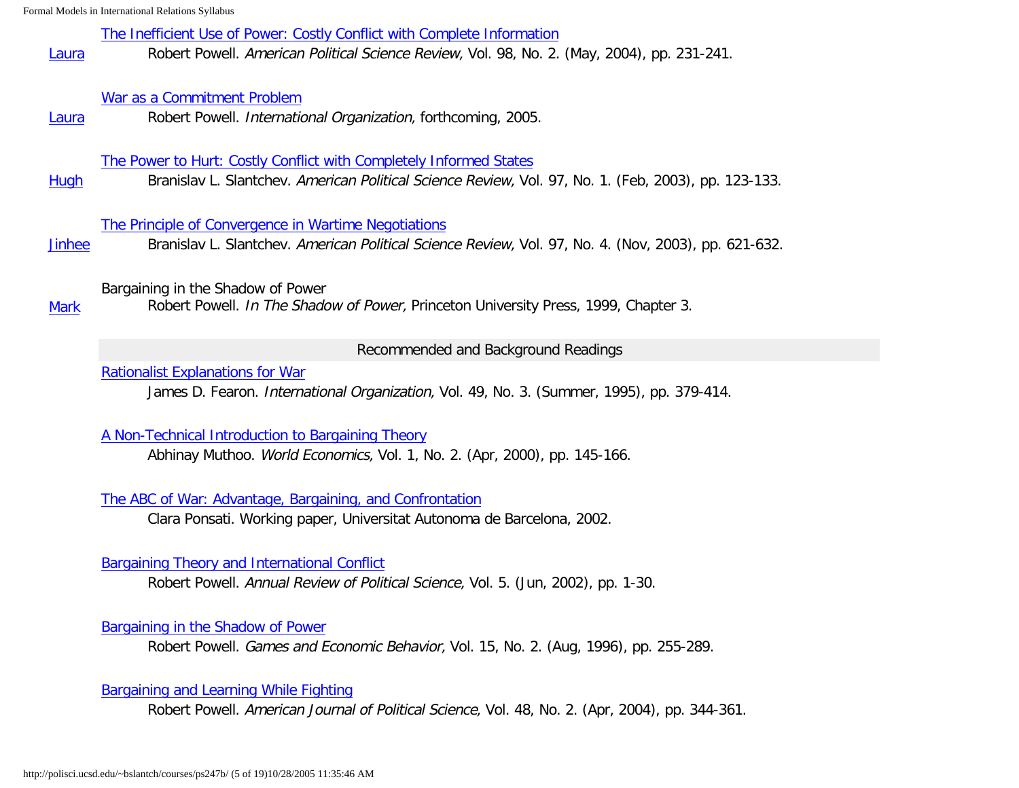[The Inefficient Use of Power: Costly Conflict with Complete Information](http://polisci.ucsd.edu/~bslantch/courses/pdf/powell-apsr2004v98n2.pdf)

[Laura](http://polisci.ucsd.edu/~bslantch/courses/ps247b/synopses/powell-inefficient-power.pdf) Robert Powell. American Political Science Review, Vol. 98, No. 2. (May, 2004), pp. 231-241.

### [War as a Commitment Problem](http://polisci.ucsd.edu/~bslantch/courses/pdf/powell-io2005.pdf)

[Laura](http://polisci.ucsd.edu/~bslantch/courses/ps247b/synopses/powell-commmitment-problem.pdf) Robert Powell. International Organization, forthcoming, 2005.

### [The Power to Hurt: Costly Conflict with Completely Informed States](http://polisci.ucsd.edu/~bslantch/courses/pdf/slantchev-apsr2003v97n1.pdf)

[Hugh](http://polisci.ucsd.edu/~bslantch/courses/ps247b/synopses/slantchev-power-to-hurt.pdf) Branislav L. Slantchev. American Political Science Review, Vol. 97, No. 1. (Feb, 2003), pp. 123-133.

### [The Principle of Convergence in Wartime Negotiations](http://polisci.ucsd.edu/~bslantch/courses/pdf/slantchev-apsr2003v97n4.pdf)

[Jinhee](http://polisci.ucsd.edu/~bslantch/courses/ps247b/synopses/slantchev-convergence.pdf) Branislav L. Slantchev. American Political Science Review, Vol. 97, No. 4. (Nov, 2003), pp. 621-632.

## Bargaining in the Shadow of Power

[Mark](http://polisci.ucsd.edu/~bslantch/courses/ps247b/synopses/powell-bargaining-shadow-power.pdf) Robert Powell. In The Shadow of Power, Princeton University Press, 1999, Chapter 3.

#### Recommended and Background Readings

### [Rationalist Explanations for War](http://polisci.ucsd.edu/~bslantch/courses/pdf/fearon-io1995v49n3.pdf)

James D. Fearon. International Organization, Vol. 49, No. 3. (Summer, 1995), pp. 379-414.

#### [A Non-Technical Introduction to Bargaining Theory](http://polisci.ucsd.edu/~bslantch/courses/pdf/muthoo-we2000v1n2.pdf)

Abhinay Muthoo. World Economics, Vol. 1, No. 2. (Apr, 2000), pp. 145-166.

### [The ABC of War: Advantage, Bargaining, and Confrontation](http://polisci.ucsd.edu/~bslantch/courses/pdf/ponsati-abc.pdf)

Clara Ponsati. Working paper, Universitat Autonoma de Barcelona, 2002.

#### [Bargaining Theory and International Conflict](http://polisci.annualreviews.org/cgi/reprint/5/1/1.pdf)

Robert Powell. Annual Review of Political Science, Vol. 5. (Jun, 2002), pp. 1-30.

## [Bargaining in the Shadow of Power](http://polisci.ucsd.edu/~bslantch/courses/pdf/powell-geb1996v15n2.pdf)

Robert Powell. Games and Economic Behavior, Vol. 15, No. 2. (Aug, 1996), pp. 255-289.

## [Bargaining and Learning While Fighting](http://polisci.ucsd.edu/~bslantch/courses/pdf/powell-ajps2004v48n2.pdf)

Robert Powell. American Journal of Political Science, Vol. 48, No. 2. (Apr, 2004), pp. 344-361.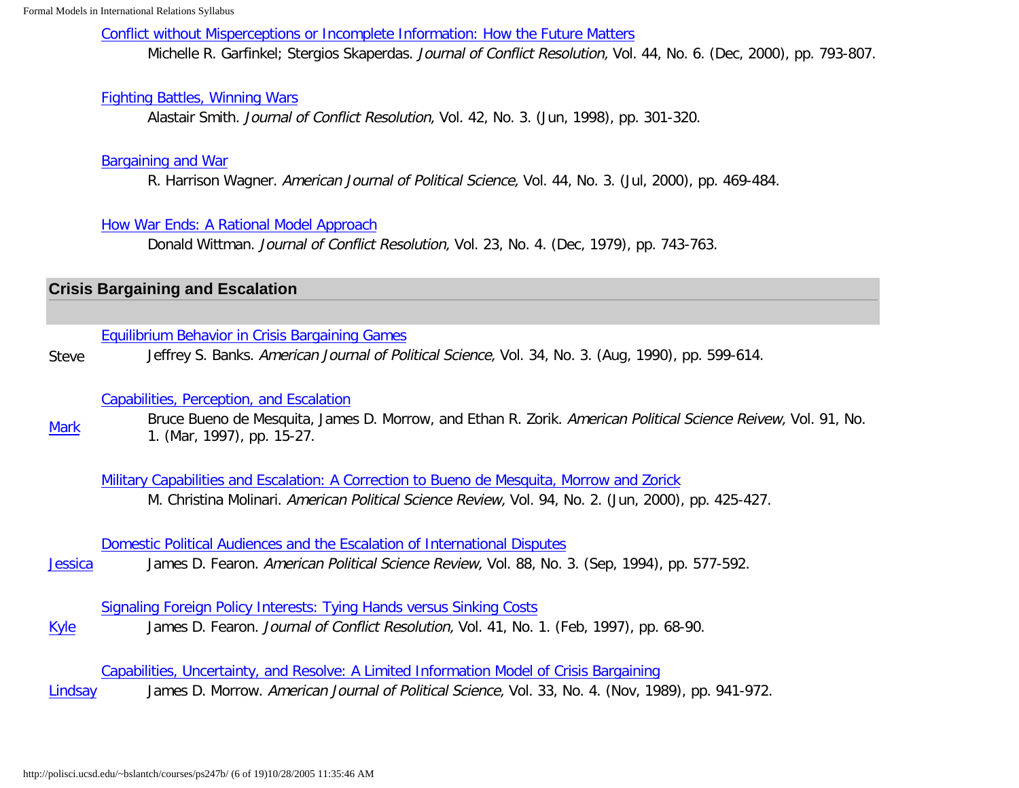[Conflict without Misperceptions or Incomplete Information: How the Future Matters](http://links.jstor.org/sici?sici=0022-0027%28200012%2944%3A6%3C793%3ACWMOII%3E2.0.CO%3B2-%23)

Michelle R. Garfinkel; Stergios Skaperdas. Journal of Conflict Resolution, Vol. 44, No. 6. (Dec, 2000), pp. 793-807.

## [Fighting Battles, Winning Wars](http://links.jstor.org/sici?sici=0022-0027%28199806%2942%3A3%3C301%3AFBWW%3E2.0.CO%3B2-S)

Alastair Smith. Journal of Conflict Resolution, Vol. 42, No. 3. (Jun, 1998), pp. 301-320.

## [Bargaining and War](http://links.jstor.org/sici?sici=0092-5853%28200007%2944%3A3%3C469%3ABAW%3E2.0.CO%3B2-R)

R. Harrison Wagner. American Journal of Political Science, Vol. 44, No. 3. (Jul, 2000), pp. 469-484.

## [How War Ends: A Rational Model Approach](http://links.jstor.org/sici?sici=0022-0027%28197912%2923%3A4%3C743%3AHAWEAR%3E2.0.CO%3B2-P)

Donald Wittman. Journal of Conflict Resolution, Vol. 23, No. 4. (Dec, 1979), pp. 743-763.

# <span id="page-5-0"></span>**Crisis Bargaining and Escalation**

## [Equilibrium Behavior in Crisis Bargaining Games](http://links.jstor.org/sici?sici=0092-5853%28199008%2934%3A3%3C599%3AEBICBG%3E2.0.CO%3B2-S)

Steve Jeffrey S. Banks. American Journal of Political Science, Vol. 34, No. 3. (Aug, 1990), pp. 599-614.

## [Capabilities, Perception, and Escalation](http://links.jstor.org/sici?sici=0003-0554%28199703%2991%3A1%3C15%3ACPAE%3E2.0.CO%3B2-3)

**[Mark](http://polisci.ucsd.edu/~bslantch/courses/ps247b/synopses/bdmmz-capabilities-perception.pdf)** Bruce Bueno de Mesquita, James D. Morrow, and Ethan R. Zorik. American Political Science Reivew, Vol. 91, No. 1. (Mar, 1997), pp. 15-27.

[Military Capabilities and Escalation: A Correction to Bueno de Mesquita, Morrow and Zorick](http://links.jstor.org/sici?sici=0003-0554%28200006%2994%3A2%3C425%3AMCAEAC%3E2.0.CO%3B2-V) M. Christina Molinari. American Political Science Review, Vol. 94, No. 2. (Jun, 2000), pp. 425-427.

## [Domestic Political Audiences and the Escalation of International Disputes](http://links.jstor.org/sici?sici=0003-0554%28199409%2988%3A3%3C577%3ADPAATE%3E2.0.CO%3B2-N)

**[Jessica](http://polisci.ucsd.edu/~bslantch/courses/ps247b/synopses/fearon-audience-costs.pdf)** James D. Fearon. American Political Science Review, Vol. 88, No. 3. (Sep, 1994), pp. 577-592.

## [Signaling Foreign Policy Interests: Tying Hands versus Sinking Costs](http://links.jstor.org/sici?sici=0022-0027%28199702%2941%3A1%3C68%3ASFPITH%3E2.0.CO%3B2-D)

[Kyle](http://polisci.ucsd.edu/~bslantch/courses/ps247b/synopses/fearon-tying-hands.pdf) James D. Fearon. Journal of Conflict Resolution, Vol. 41, No. 1. (Feb, 1997), pp. 68-90.

[Capabilities, Uncertainty, and Resolve: A Limited Information Model of Crisis Bargaining](http://links.jstor.org/sici?sici=0092-5853%28198911%2933%3A4%3C941%3ACUARAL%3E2.0.CO%3B2-9)

[Lindsay](http://polisci.ucsd.edu/~bslantch/courses/ps247b/synopses/morrow-capabilities-uncertainty.pdf) James D. Morrow. American Journal of Political Science, Vol. 33, No. 4. (Nov, 1989), pp. 941-972.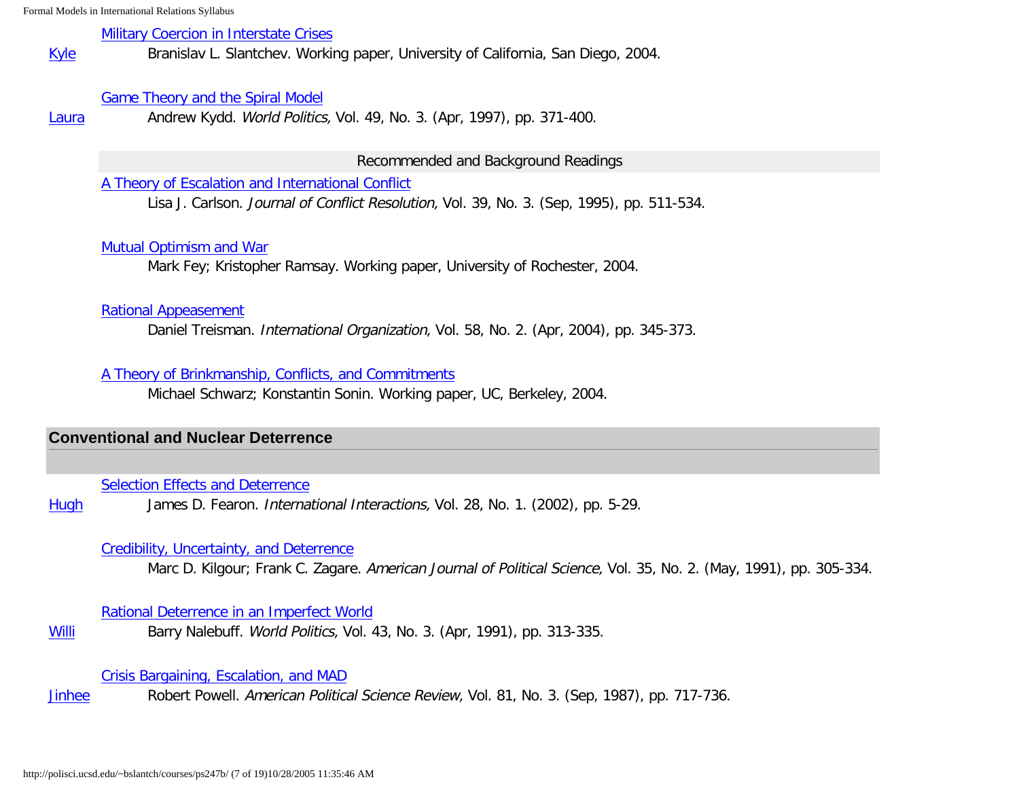### [Military Coercion in Interstate Crises](http://polisci.ucsd.edu/~bslantch/courses/pdf/slantchev-coercion.pdf)

**[Kyle](http://polisci.ucsd.edu/~bslantch/courses/ps247b/synopses/slantchev-military-coercion.pdf)** Branislav L. Slantchev. Working paper, University of California, San Diego, 2004.

### [Game Theory and the Spiral Model](http://muse.jhu.edu/journals/world_politics/v049/49.3kydd.pdf)

[Laura](http://polisci.ucsd.edu/~bslantch/courses/ps247b/synopses/kydd-spiral-model.pdf) Andrew Kydd. World Politics, Vol. 49, No. 3. (Apr, 1997), pp. 371-400.

Recommended and Background Readings

[A Theory of Escalation and International Conflict](http://links.jstor.org/sici?sici=0022-0027%28199509%2939%3A3%3C511%3AATOEAI%3E2.0.CO%3B2-5)

Lisa J. Carlson. Journal of Conflict Resolution, Vol. 39, No. 3. (Sep, 1995), pp. 511-534.

## [Mutual Optimism and War](http://polisci.ucsd.edu/~bslantch/courses/pdf/ramsay-agreeing3.0.pdf)

Mark Fey; Kristopher Ramsay. Working paper, University of Rochester, 2004.

### [Rational Appeasement](http://polisci.ucsd.edu/~bslantch/courses/pdf/treisman-io2004v58n2.pdf)

Daniel Treisman. International Organization, Vol. 58, No. 2. (Apr, 2004), pp. 345-373.

### [A Theory of Brinkmanship, Conflicts, and Commitments](http://polisci.ucsd.edu/~bslantch/courses/pdf/schwarz-commitments.pdf)

Michael Schwarz; Konstantin Sonin. Working paper, UC, Berkeley, 2004.

## <span id="page-6-0"></span>**Conventional and Nuclear Deterrence**

### **[Selection Effects and Deterrence](http://polisci.ucsd.edu/~bslantch/courses/pdf/fearon-ii2002v28n1.pdf)**

[Hugh](http://polisci.ucsd.edu/~bslantch/courses/ps247b/synopses/fearon-selection-effects.pdf) James D. Fearon. International Interactions, Vol. 28, No. 1. (2002), pp. 5-29.

### [Credibility, Uncertainty, and Deterrence](http://links.jstor.org/sici?sici=0092-5853%28199105%2935%3A2%3C305%3ACUAD%3E2.0.CO%3B2-2)

Marc D. Kilgour; Frank C. Zagare. American Journal of Political Science, Vol. 35, No. 2. (May, 1991), pp. 305-334.

### [Rational Deterrence in an Imperfect World](http://links.jstor.org/sici?sici=0043-8871%28199104%2943%3A3%3C313%3ARDIAIW%3E2.0.CO%3B2-P)

[Willi](http://polisci.ucsd.edu/~bslantch/courses/ps247b/synopses/nalebuff-rational-deterrence.pdf) Barry Nalebuff. World Politics, Vol. 43, No. 3. (Apr, 1991), pp. 313-335.

[Crisis Bargaining, Escalation, and MAD](http://links.jstor.org/sici?sici=0003-0554%28198709%2981%3A3%3C717%3ACBEAM%3E2.0.CO%3B2-6)

[Jinhee](http://polisci.ucsd.edu/~bslantch/courses/ps247b/synopses/powell-mad.pdf) Robert Powell. American Political Science Review, Vol. 81, No. 3. (Sep, 1987), pp. 717-736.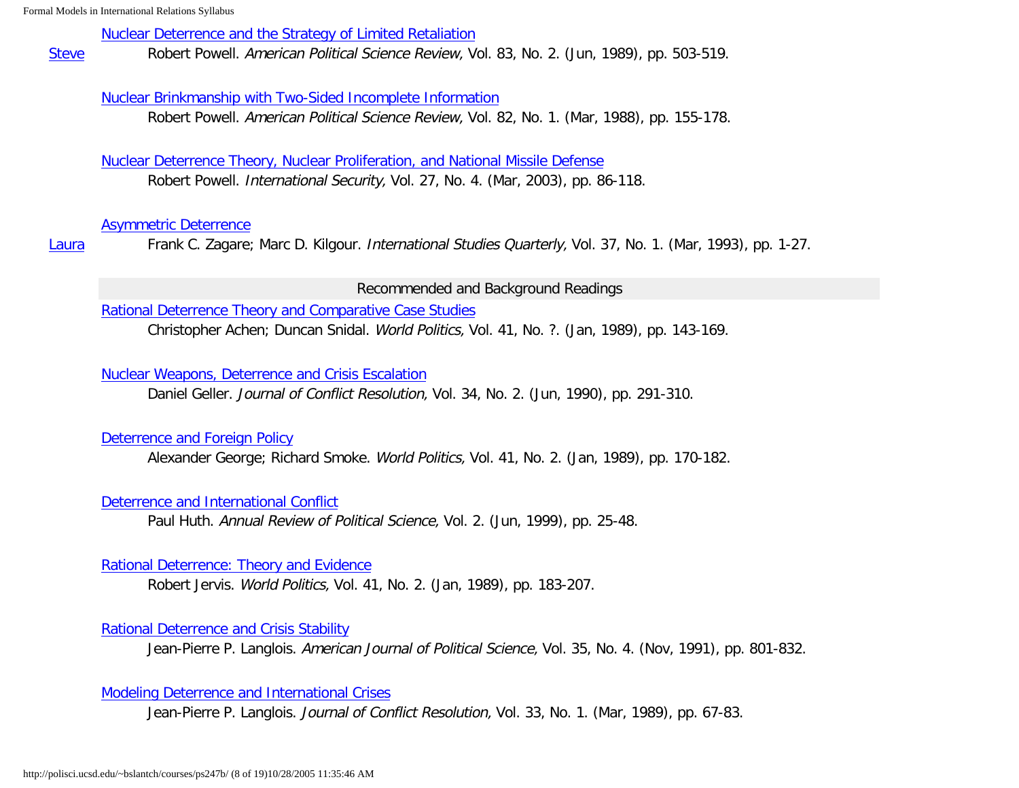#### [Nuclear Deterrence and the Strategy of Limited Retaliation](http://links.jstor.org/sici?sici=0003-0554%28198906%2983%3A2%3C503%3ANDATSO%3E2.0.CO%3B2-Q)

**[Steve](http://polisci.ucsd.edu/~bslantch/courses/ps247b/synopses/powell-limited-retaliation.pdf)** Robert Powell. American Political Science Review, Vol. 83, No. 2. (Jun, 1989), pp. 503-519.

### [Nuclear Brinkmanship with Two-Sided Incomplete Information](http://links.jstor.org/sici?sici=0003-0554%28198803%2982%3A1%3C155%3ANBWTII%3E2.0.CO%3B2-2)

Robert Powell. American Political Science Review, Vol. 82, No. 1. (Mar, 1988), pp. 155-178.

[Nuclear Deterrence Theory, Nuclear Proliferation, and National Missile Defense](http://polisci.ucsd.edu/~bslantch/courses/pdf/powell-is2003v27n4.pdf) Robert Powell. International Security, Vol. 27, No. 4. (Mar, 2003), pp. 86-118.

#### [Asymmetric Deterrence](http://links.jstor.org/sici?sici=0020-8833%28199303%2937%3A1%3C1%3AAD%3E2.0.CO%3B2-9)

[Laura](http://polisci.ucsd.edu/~bslantch/courses/ps247b/synopses/zagare-kilgour-asymmetric-deterrence.pdf) Frank C. Zagare; Marc D. Kilgour. International Studies Quarterly, Vol. 37, No. 1. (Mar, 1993), pp. 1-27.

#### Recommended and Background Readings

[Rational Deterrence Theory and Comparative Case Studies](http://links.jstor.org/sici?sici=0043-8871%28198901%2941%3A2%3C143%3ARDTACC%3E2.0.CO%3B2-P)

Christopher Achen; Duncan Snidal. World Politics, Vol. 41, No. ?. (Jan, 1989), pp. 143-169.

#### [Nuclear Weapons, Deterrence and Crisis Escalation](http://links.jstor.org/sici?sici=0022-0027%28199006%2934%3A2%3C291%3ANWDACE%3E2.0.CO%3B2-P)

Daniel Geller. Journal of Conflict Resolution, Vol. 34, No. 2. (Jun, 1990), pp. 291-310.

### [Deterrence and Foreign Policy](http://links.jstor.org/sici?sici=0043-8871%28198901%2941%3A2%3C170%3ADAFP%3E2.0.CO%3B2-M)

Alexander George; Richard Smoke. World Politics, Vol. 41, No. 2. (Jan, 1989), pp. 170-182.

### [Deterrence and International Conflict](http://polisci.annualreviews.org/cgi/reprint/2/1/25.pdf)

Paul Huth. Annual Review of Political Science, Vol. 2. (Jun, 1999), pp. 25-48.

### [Rational Deterrence: Theory and Evidence](http://links.jstor.org/sici?sici=0043-8871%28198901%2941%3A2%3C183%3ARDTAE%3E2.0.CO%3B2-Q)

Robert Jervis. World Politics, Vol. 41, No. 2. (Jan, 1989), pp. 183-207.

### [Rational Deterrence and Crisis Stability](http://links.jstor.org/sici?sici=0092-5853%28199111%2935%3A4%3C801%3ARDACS%3E2.0.CO%3B2-2)

Jean-Pierre P. Langlois. American Journal of Political Science, Vol. 35, No. 4. (Nov, 1991), pp. 801-832.

### [Modeling Deterrence and International Crises](http://links.jstor.org/sici?sici=0022-0027%28198903%2933%3A1%3C67%3AMDAIC%3E2.0.CO%3B2-R)

Jean-Pierre P. Langlois. Journal of Conflict Resolution, Vol. 33, No. 1. (Mar, 1989), pp. 67-83.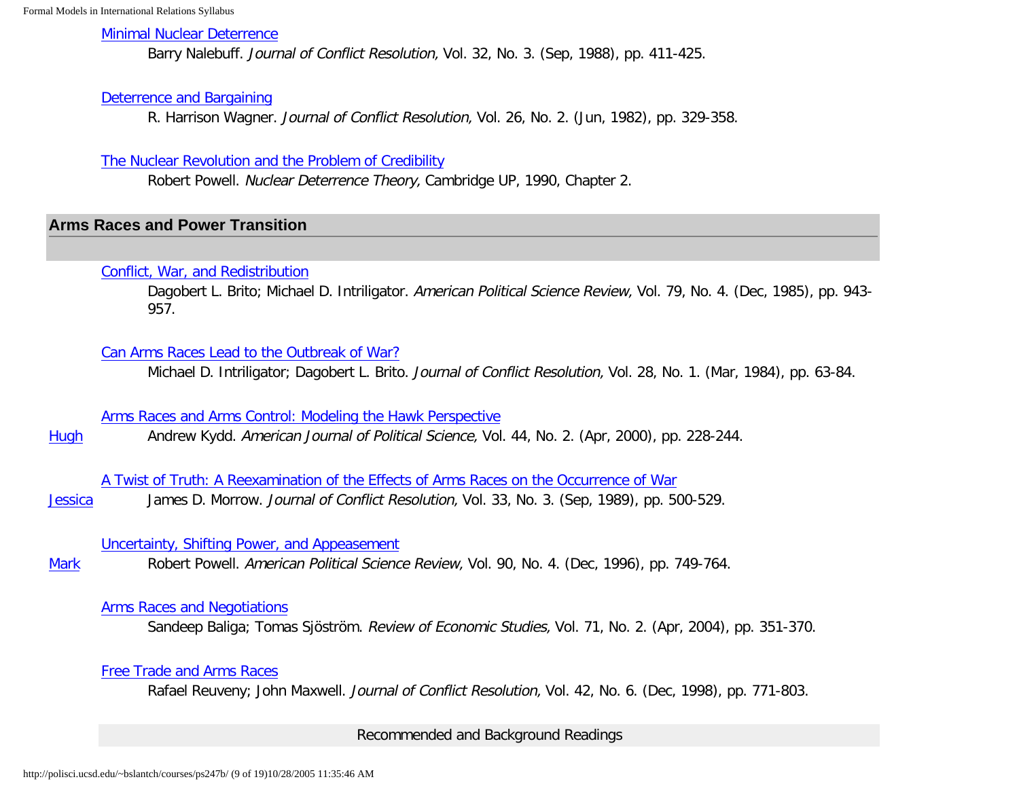### [Minimal Nuclear Deterrence](http://links.jstor.org/sici?sici=0022-0027%28198809%2932%3A3%3C411%3AMND%3E2.0.CO%3B2-1)

Barry Nalebuff. Journal of Conflict Resolution, Vol. 32, No. 3. (Sep, 1988), pp. 411-425.

### [Deterrence and Bargaining](http://links.jstor.org/sici?sici=0022-0027%28198206%2926%3A2%3C329%3ADAB%3E2.0.CO%3B2-Q)

R. Harrison Wagner. Journal of Conflict Resolution, Vol. 26, No. 2. (Jun, 1982), pp. 329-358.

### [The Nuclear Revolution and the Problem of Credibility](http://polisci.ucsd.edu/~bslantch/courses/pdf/powell-nuclear-revolution.pdf)

Robert Powell. Nuclear Deterrence Theory, Cambridge UP, 1990, Chapter 2.

## <span id="page-8-0"></span>**Arms Races and Power Transition**

### [Conflict, War, and Redistribution](http://links.jstor.org/sici?sici=0003-0554%28198512%2979%3A4%3C943%3ACWAR%3E2.0.CO%3B2-E)

Dagobert L. Brito; Michael D. Intriligator. American Political Science Review, Vol. 79, No. 4. (Dec, 1985), pp. 943-957.

### [Can Arms Races Lead to the Outbreak of War?](http://links.jstor.org/sici?sici=0022-0027%28198403%2928%3A1%3C63%3ACARLTT%3E2.0.CO%3B2-P)

Michael D. Intriligator; Dagobert L. Brito. Journal of Conflict Resolution, Vol. 28, No. 1. (Mar, 1984), pp. 63-84.

[Arms Races and Arms Control: Modeling the Hawk Perspective](http://links.jstor.org/sici?sici=0092-5853%28200004%2944%3A2%3C228%3AARAACM%3E2.0.CO%3B2-C)

**[Hugh](http://polisci.ucsd.edu/~bslantch/courses/ps247b/synopses/kydd-arms-races.pdf)** Andrew Kydd. American Journal of Political Science, Vol. 44, No. 2. (Apr, 2000), pp. 228-244.

[A Twist of Truth: A Reexamination of the Effects of Arms Races on the Occurrence of War](http://links.jstor.org/sici?sici=0022-0027%28198909%2933%3A3%3C500%3AATOTAR%3E2.0.CO%3B2-6)

**[Jessica](http://polisci.ucsd.edu/~bslantch/courses/ps247b/synopses/morrow-twist-of-truth.pdf)** James D. Morrow. Journal of Conflict Resolution, Vol. 33, No. 3. (Sep, 1989), pp. 500-529.

## [Uncertainty, Shifting Power, and Appeasement](http://links.jstor.org/sici?sici=0003-0554%28199612%2990%3A4%3C749%3AUSPAA%3E2.0.CO%3B2-4)

**[Mark](http://polisci.ucsd.edu/~bslantch/courses/ps247b/synopses/powell-shifting-power.pdf)** Robert Powell. American Political Science Review, Vol. 90, No. 4. (Dec, 1996), pp. 749-764.

### [Arms Races and Negotiations](http://polisci.ucsd.edu/~bslantch/courses/pdf/baliga-res2004v71n2.pdf)

Sandeep Baliga; Tomas Sjöström. Review of Economic Studies, Vol. 71, No. 2. (Apr, 2004), pp. 351-370.

## [Free Trade and Arms Races](http://links.jstor.org/sici?sici=0022-0027%28199812%2942%3A6%3C771%3AFTAAR%3E2.0.CO%3B2-L)

Rafael Reuveny; John Maxwell. Journal of Conflict Resolution, Vol. 42, No. 6. (Dec, 1998), pp. 771-803.

Recommended and Background Readings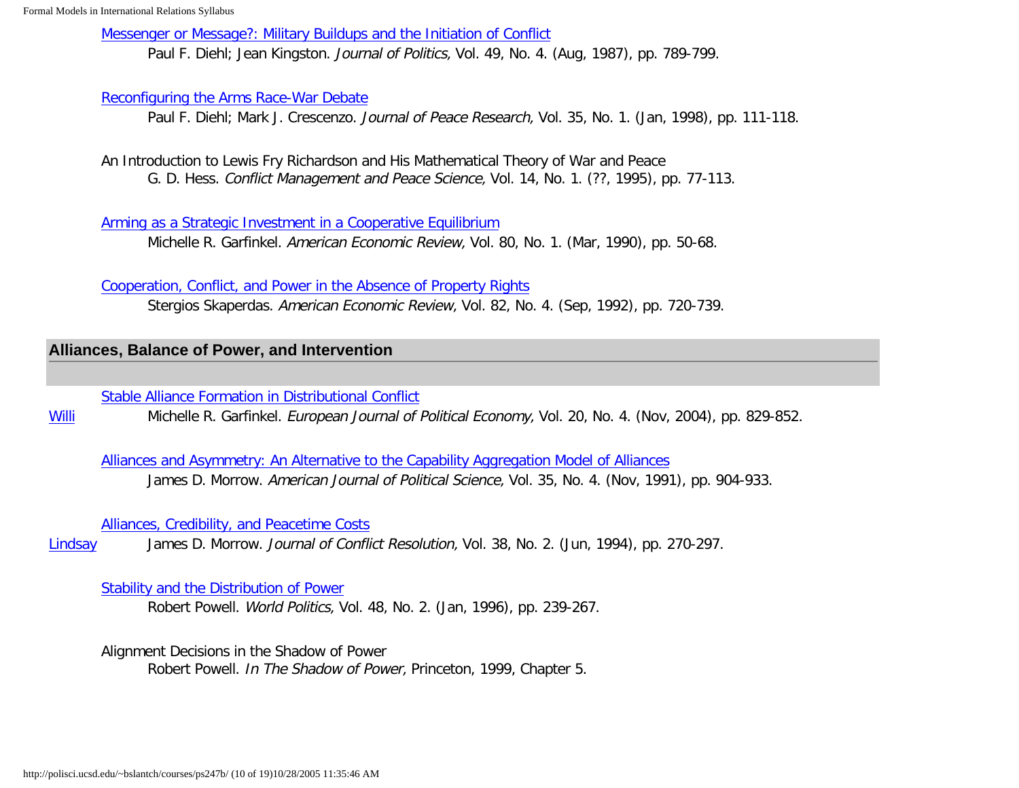[Messenger or Message?: Military Buildups and the Initiation of Conflict](http://links.jstor.org/sici?sici=0022-3816%28198708%2949%3A3%3C801%3AMOMMBA%3E2.0.CO%3B2-S)

Paul F. Diehl; Jean Kingston. Journal of Politics, Vol. 49, No. 4. (Aug, 1987), pp. 789-799.

## [Reconfiguring the Arms Race-War Debate](http://links.jstor.org/sici?sici=0022-3433%28199801%2935%3A1%3C111%3ARTARD%3E2.0.CO%3B2-4)

Paul F. Diehl; Mark J. Crescenzo. Journal of Peace Research, Vol. 35, No. 1. (Jan, 1998), pp. 111-118.

An Introduction to Lewis Fry Richardson and His Mathematical Theory of War and Peace G. D. Hess. Conflict Management and Peace Science, Vol. 14, No. 1. (??, 1995), pp. 77-113.

[Arming as a Strategic Investment in a Cooperative Equilibrium](http://polisci.ucsd.edu/~bslantch/courses/pdf/garfinkel-aer1990v80n1.pdf)

Michelle R. Garfinkel. American Economic Review, Vol. 80, No. 1. (Mar, 1990), pp. 50-68.

[Cooperation, Conflict, and Power in the Absence of Property Rights](http://polisci.ucsd.edu/~bslantch/courses/pdf/skaperdas-aer1992v82n4.pdf)

Stergios Skaperdas. American Economic Review, Vol. 82, No. 4. (Sep, 1992), pp. 720-739.

## <span id="page-9-0"></span>**Alliances, Balance of Power, and Intervention**

[Stable Alliance Formation in Distributional Conflict](http://polisci.ucsd.edu/~bslantch/courses/pdf/garfinkel-ejpe2004v20n4.pdf)

**[Willi](http://polisci.ucsd.edu/~bslantch/courses/ps247b/synopses/garfinkel-alliance-formation.pdf)** Michelle R. Garfinkel. European Journal of Political Economy, Vol. 20, No. 4. (Nov, 2004), pp. 829-852.

[Alliances and Asymmetry: An Alternative to the Capability Aggregation Model of Alliances](http://links.jstor.org/sici?sici=0092-5853%28199111%2935%3A4%3C904%3AAAAAAT%3E2.0.CO%3B2-H) James D. Morrow. American Journal of Political Science, Vol. 35, No. 4. (Nov, 1991), pp. 904-933.

[Alliances, Credibility, and Peacetime Costs](http://links.jstor.org/sici?sici=0022-0027%28199406%2938%3A2%3C270%3AACAPC%3E2.0.CO%3B2-P)

[Lindsay](http://polisci.ucsd.edu/~bslantch/courses/ps247b/synopses/morrow-alliances-credibility.pdf) James D. Morrow. Journal of Conflict Resolution, Vol. 38, No. 2. (Jun, 1994), pp. 270-297.

## [Stability and the Distribution of Power](http://muse.jhu.edu/journals/world_politics/v048/48.2powell.pdf)

Robert Powell. World Politics, Vol. 48, No. 2. (Jan, 1996), pp. 239-267.

Alignment Decisions in the Shadow of Power

Robert Powell. In The Shadow of Power, Princeton, 1999, Chapter 5.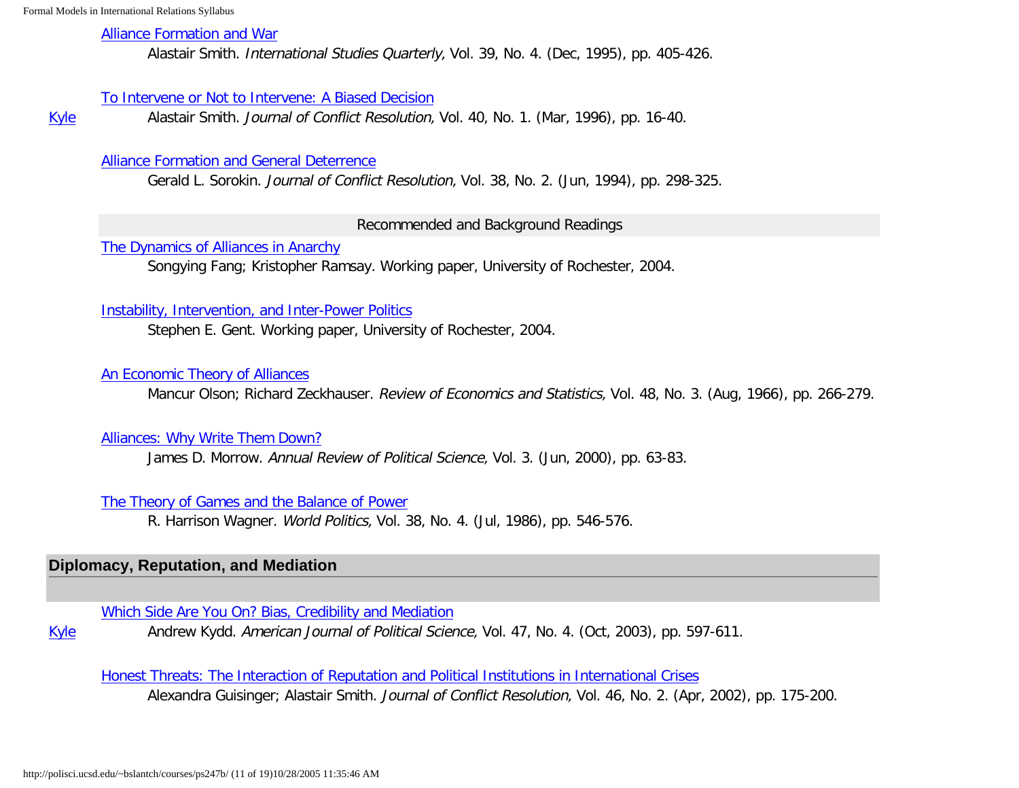### [Alliance Formation and War](http://links.jstor.org/sici?sici=0020-8833%28199512%2939%3A4%3C405%3AAFAW%3E2.0.CO%3B2-S)

Alastair Smith. International Studies Quarterly, Vol. 39, No. 4. (Dec, 1995), pp. 405-426.

### [To Intervene or Not to Intervene: A Biased Decision](http://links.jstor.org/sici?sici=0022-0027%28199603%2940%3A1%3C16%3ATIONTI%3E2.0.CO%3B2-6)

**[Kyle](http://polisci.ucsd.edu/~bslantch/courses/ps247b/synopses/smith-intervene-biased.pdf)** Alastair Smith. Journal of Conflict Resolution, Vol. 40, No. 1. (Mar, 1996), pp. 16-40.

## [Alliance Formation and General Deterrence](http://links.jstor.org/sici?sici=0022-0027%28199406%2938%3A2%3C298%3AAFAGDA%3E2.0.CO%3B2-P)

Gerald L. Sorokin. Journal of Conflict Resolution, Vol. 38, No. 2. (Jun, 1994), pp. 298-325.

## Recommended and Background Readings

[The Dynamics of Alliances in Anarchy](http://polisci.ucsd.edu/~bslantch/courses/pdf/ramsay-fang-alliances6.5.pdf)

Songying Fang; Kristopher Ramsay. Working paper, University of Rochester, 2004.

## [Instability, Intervention, and Inter-Power Politics](http://polisci.ucsd.edu/~bslantch/courses/pdf/gent-instability-intervention.pdf)

Stephen E. Gent. Working paper, University of Rochester, 2004.

## [An Economic Theory of Alliances](http://links.jstor.org/sici?sici=0034-6535%28196608%2948%3A3%3C266%3AAETOA%3E2.0.CO%3B2-A)

Mancur Olson; Richard Zeckhauser. Review of Economics and Statistics, Vol. 48, No. 3. (Aug, 1966), pp. 266-279.

## [Alliances: Why Write Them Down?](http://polisci.annualreviews.org/cgi/reprint/3/1/63.pdf)

James D. Morrow. Annual Review of Political Science, Vol. 3. (Jun, 2000), pp. 63-83.

## [The Theory of Games and the Balance of Power](http://links.jstor.org/sici?sici=0043-8871%28198607%2938%3A4%3C546%3ATTOGAT%3E2.0.CO%3B2-2)

R. Harrison Wagner. World Politics, Vol. 38, No. 4. (Jul, 1986), pp. 546-576.

# <span id="page-10-0"></span>**Diplomacy, Reputation, and Mediation**

[Which Side Are You On? Bias, Credibility and Mediation](http://polisci.ucsd.edu/~bslantch/courses/pdf/kydd-ajps2003v47n4.pdf)

[Kyle](http://polisci.ucsd.edu/~bslantch/courses/ps247b/synopses/kydd-biased-mediators.pdf) Andrew Kydd. American Journal of Political Science, Vol. 47, No. 4. (Oct, 2003), pp. 597-611.

[Honest Threats: The Interaction of Reputation and Political Institutions in International Crises](http://www.ingentaconnect.com/content/sage/j222/2002/00000046/00000002/art00001)

Alexandra Guisinger; Alastair Smith. Journal of Conflict Resolution, Vol. 46, No. 2. (Apr, 2002), pp. 175-200.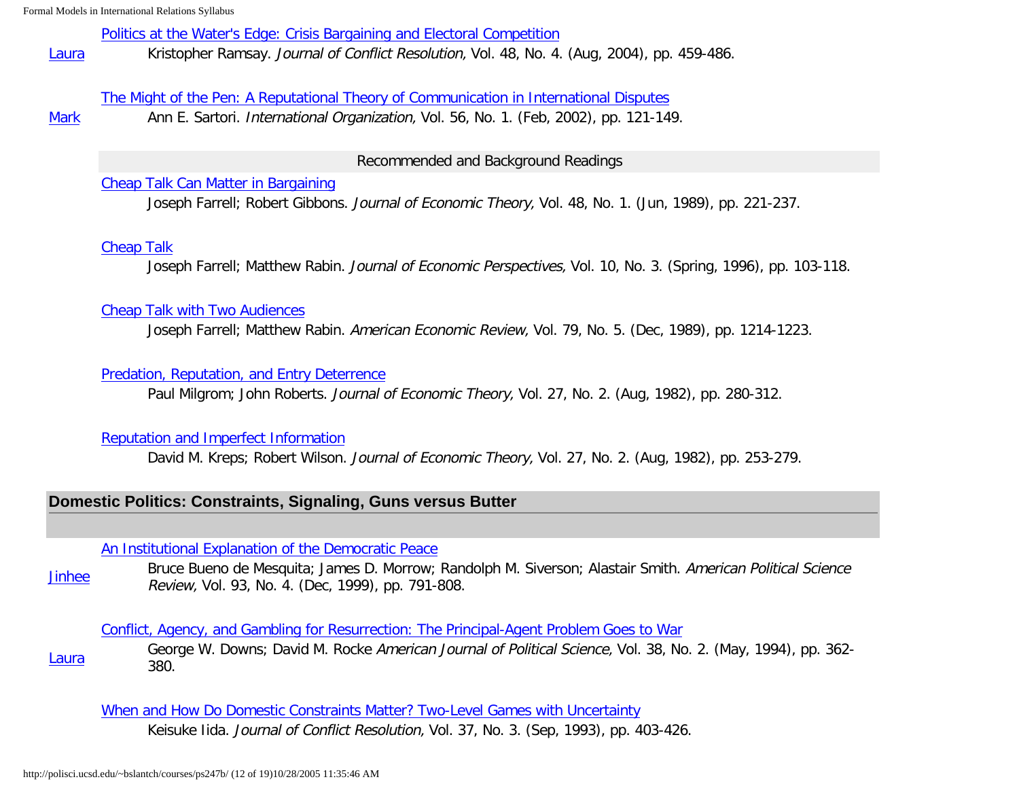#### [Politics at the Water's Edge: Crisis Bargaining and Electoral Competition](http://jcr.sagepub.com/cgi/reprint/48/4/459?maxtoshow=&HITS=10&hits=10&RESULTFORMAT=&author1=Kristopher+Ramsay&searchid=1108405719340_111&stored_search=&FIRSTINDEX=0&sortspec=relevance&journalcode=spjcr)

[Laura](http://polisci.ucsd.edu/~bslantch/courses/ps247b/synopses/ramsay-waters-edge.pdf) Kristopher Ramsay. Journal of Conflict Resolution, Vol. 48, No. 4. (Aug, 2004), pp. 459-486.

### [The Might of the Pen: A Reputational Theory of Communication in International Disputes](http://www.ingentaconnect.com/content/mitpress/io/2002/00000056/00000001/art00005)

**[Mark](http://polisci.ucsd.edu/~bslantch/courses/ps247b/synopses/sartori-might-of-the-pen.pdf)** Ann E. Sartori. International Organization, Vol. 56, No. 1. (Feb, 2002), pp. 121-149.

## Recommended and Background Readings

## [Cheap Talk Can Matter in Bargaining](http://polisci.ucsd.edu/~bslantch/courses/pdf/farrell-jet1989v48n1.pdf)

Joseph Farrell; Robert Gibbons. Journal of Economic Theory, Vol. 48, No. 1. (Jun, 1989), pp. 221-237.

## [Cheap Talk](http://links.jstor.org/sici?sici=0895-3309%28199622%2910%3A3%3C103%3ACT%3E2.0.CO%3B2-A)

Joseph Farrell; Matthew Rabin. Journal of Economic Perspectives, Vol. 10, No. 3. (Spring, 1996), pp. 103-118.

### [Cheap Talk with Two Audiences](http://links.jstor.org/sici?sici=0002-8282%28198912%2979%3A5%3C1214%3ACTWTA%3E2.0.CO%3B2-V)

Joseph Farrell; Matthew Rabin. American Economic Review, Vol. 79, No. 5. (Dec, 1989), pp. 1214-1223.

## [Predation, Reputation, and Entry Deterrence](http://polisci.ucsd.edu/~bslantch/courses/pdf/milgrom-jet1982v27n2.pdf)

Paul Milgrom; John Roberts. Journal of Economic Theory, Vol. 27, No. 2. (Aug, 1982), pp. 280-312.

## [Reputation and Imperfect Information](http://polisci.ucsd.edu/~bslantch/courses/pdf/kreps-jet1982v27n2.pdf)

David M. Kreps; Robert Wilson. Journal of Economic Theory, Vol. 27, No. 2. (Aug, 1982), pp. 253-279.

# <span id="page-11-0"></span>**Domestic Politics: Constraints, Signaling, Guns versus Butter**

[An Institutional Explanation of the Democratic Peace](http://links.jstor.org/sici?sici=0003-0554%28199912%2993%3A4%3C791%3AAIEOTD%3E2.0.CO%3B2-8)

[Jinhee](http://polisci.ucsd.edu/~bslantch/courses/ps247b/synopses/bdmmss-institutional-peace.pdf) Bruce Bueno de Mesquita; James D. Morrow; Randolph M. Siverson; Alastair Smith. American Political Science Review, Vol. 93, No. 4. (Dec, 1999), pp. 791-808.

[Conflict, Agency, and Gambling for Resurrection: The Principal-Agent Problem Goes to War](http://links.jstor.org/sici?sici=0092-5853%28199405%2938%3A2%3C362%3ACAAGFR%3E2.0.CO%3B2-4)

[Laura](http://polisci.ucsd.edu/~bslantch/courses/ps247b/synopses/downs-rocke-gambling-resurrection.pdf) George W. Downs; David M. Rocke American Journal of Political Science, Vol. 38, No. 2. (May, 1994), pp. 362- 380.

[When and How Do Domestic Constraints Matter? Two-Level Games with Uncertainty](http://links.jstor.org/sici?sici=0022-0027%28199309%2937%3A3%3C403%3AWAHDDC%3E2.0.CO%3B2-1) Keisuke Iida. Journal of Conflict Resolution, Vol. 37, No. 3. (Sep, 1993), pp. 403-426.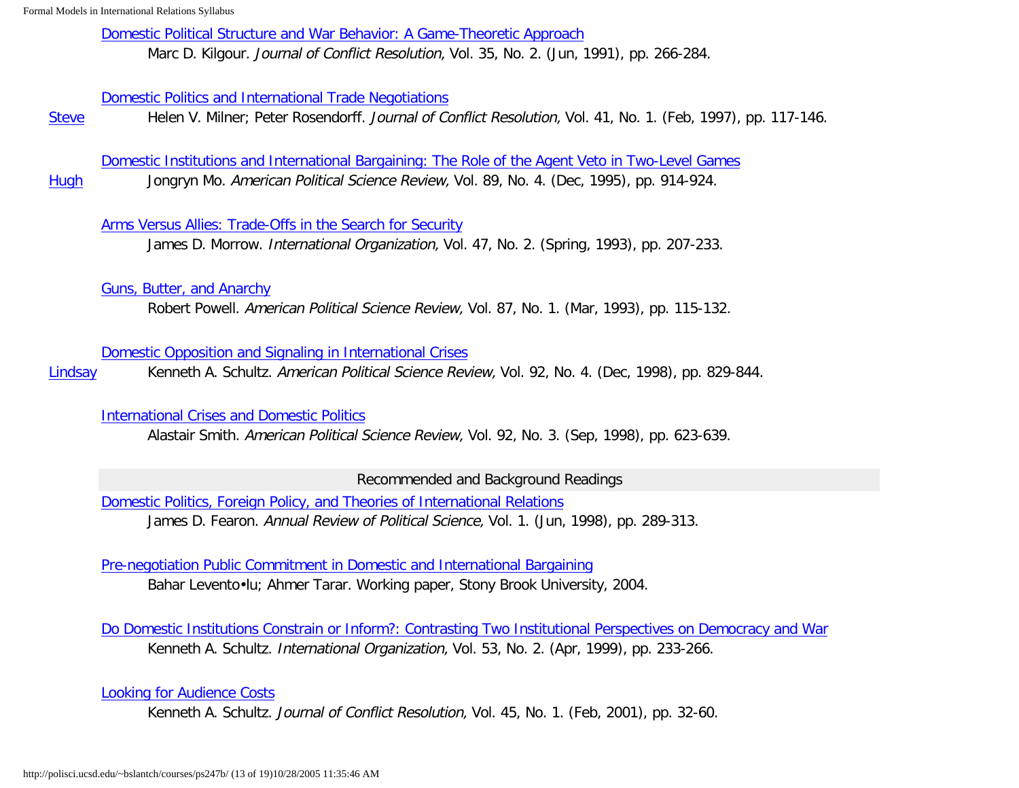[Domestic Political Structure and War Behavior: A Game-Theoretic Approach](http://links.jstor.org/sici?sici=0022-0027%28199106%2935%3A2%3C266%3ADPSAWB%3E2.0.CO%3B2-U)

Marc D. Kilgour. Journal of Conflict Resolution, Vol. 35, No. 2. (Jun, 1991), pp. 266-284.

### [Domestic Politics and International Trade Negotiations](http://links.jstor.org/sici?sici=0022-0027%28199702%2941%3A1%3C117%3ADPAITN%3E2.0.CO%3B2-2)

**[Steve](http://polisci.ucsd.edu/~bslantch/courses/ps247b/synopses/milner-rosendorff-domestic-politics-trade.pdf)** Helen V. Milner; Peter Rosendorff. Journal of Conflict Resolution, Vol. 41, No. 1. (Feb, 1997), pp. 117-146.

[Domestic Institutions and International Bargaining: The Role of the Agent Veto in Two-Level Games](http://links.jstor.org/sici?sici=0003-0554%28199512%2989%3A4%3C914%3ADIAIBT%3E2.0.CO%3B2-P)

[Hugh](http://polisci.ucsd.edu/~bslantch/courses/ps247b/synopses/mo-domestic-institutions.pdf) Jongryn Mo. American Political Science Review, Vol. 89, No. 4. (Dec, 1995), pp. 914-924.

## [Arms Versus Allies: Trade-Offs in the Search for Security](http://links.jstor.org/sici?sici=0020-8183%28199321%2947%3A2%3C207%3AAVATIT%3E2.0.CO%3B2-X)

James D. Morrow. International Organization, Vol. 47, No. 2. (Spring, 1993), pp. 207-233.

## [Guns, Butter, and Anarchy](http://links.jstor.org/sici?sici=0003-0554%28199303%2987%3A1%3C115%3AGBAA%3E2.0.CO%3B2-X)

Robert Powell. American Political Science Review, Vol. 87, No. 1. (Mar, 1993), pp. 115-132.

## [Domestic Opposition and Signaling in International Crises](http://links.jstor.org/sici?sici=0003-0554%28199812%2992%3A4%3C829%3ADOASII%3E2.0.CO%3B2-S)

[Lindsay](http://polisci.ucsd.edu/~bslantch/courses/ps247b/synopses/schultz-domestic-opposition.pdf) Kenneth A. Schultz. American Political Science Review, Vol. 92, No. 4. (Dec, 1998), pp. 829-844.

## [International Crises and Domestic Politics](http://links.jstor.org/sici?sici=0003-0554%28199809%2992%3A3%3C623%3AICADP%3E2.0.CO%3B2-U)

Alastair Smith. American Political Science Review, Vol. 92, No. 3. (Sep, 1998), pp. 623-639.

Recommended and Background Readings

[Domestic Politics, Foreign Policy, and Theories of International Relations](http://polisci.annualreviews.org/cgi/reprint/1/1/289.pdf) James D. Fearon. Annual Review of Political Science, Vol. 1. (Jun, 1998), pp. 289-313.

[Pre-negotiation Public Commitment in Domestic and International Bargaining](http://polisci.ucsd.edu/~bslantch/courses/pdf/leventoglu-tarar-prenego.pdf) Bahar Levento•lu; Ahmer Tarar. Working paper, Stony Brook University, 2004.

[Do Domestic Institutions Constrain or Inform?: Contrasting Two Institutional Perspectives on Democracy and War](http://www.ingentaconnect.com/content/mitpress/io/1999/00000053/00000002/art00002) Kenneth A. Schultz. International Organization, Vol. 53, No. 2. (Apr, 1999), pp. 233-266.

[Looking for Audience Costs](http://www.ingentaconnect.com/content/sage/j222/2001/00000045/00000001/art00002)

Kenneth A. Schultz. Journal of Conflict Resolution, Vol. 45, No. 1. (Feb, 2001), pp. 32-60.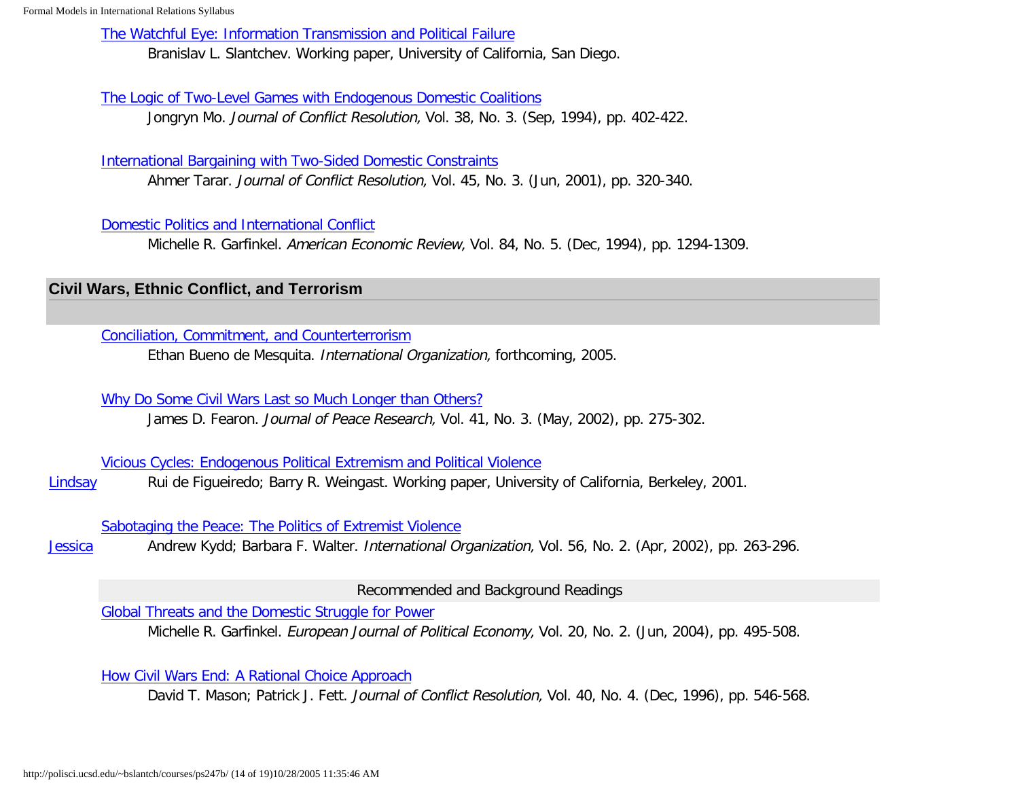[The Watchful Eye: Information Transmission and Political Failure](http://polisci.ucsd.edu/~bslantch/courses/pdf/slantchev-watchful.pdf)

Branislav L. Slantchev. Working paper, University of California, San Diego.

[The Logic of Two-Level Games with Endogenous Domestic Coalitions](http://links.jstor.org/sici?sici=0022-0027%28199409%2938%3A3%3C402%3ATLOTGW%3E2.0.CO%3B2-Z)

Jongryn Mo. Journal of Conflict Resolution, Vol. 38, No. 3. (Sep, 1994), pp. 402-422.

[International Bargaining with Two-Sided Domestic Constraints](http://www.ingentaconnect.com/content/sage/j222/2001/00000045/00000003/art00004)

Ahmer Tarar. Journal of Conflict Resolution, Vol. 45, No. 3. (Jun, 2001), pp. 320-340.

[Domestic Politics and International Conflict](http://polisci.ucsd.edu/~bslantch/courses/pdf/garfinkel-aer1994v84n5.pdf)

Michelle R. Garfinkel. American Economic Review, Vol. 84, No. 5. (Dec, 1994), pp. 1294-1309.

## <span id="page-13-0"></span>**Civil Wars, Ethnic Conflict, and Terrorism**

[Conciliation, Commitment, and Counterterrorism](http://polisci.ucsd.edu/~bslantch/courses/pdf/ebdm-io2005v59n1.pdf)

Ethan Bueno de Mesquita. International Organization, forthcoming, 2005.

[Why Do Some Civil Wars Last so Much Longer than Others?](http://polisci.ucsd.edu/~bslantch/courses/pdf/fearon-jpr2004v41n3.pdf)

James D. Fearon. Journal of Peace Research, Vol. 41, No. 3. (May, 2002), pp. 275-302.

[Vicious Cycles: Endogenous Political Extremism and Political Violence](http://polisci.ucsd.edu/~bslantch/courses/pdf/figueiredo-vicious.pdf)

[Lindsay](http://polisci.ucsd.edu/~bslantch/courses/ps247b/synopses/figueiredo-weingast-vicious-cycles.pdf) Rui de Figueiredo; Barry R. Weingast. Working paper, University of California, Berkeley, 2001.

[Sabotaging the Peace: The Politics of Extremist Violence](http://www.ingentaconnect.com/content/mitpress/io/2002/00000056/00000002/art00002)

**[Jessica](http://polisci.ucsd.edu/~bslantch/courses/ps247b/synopses/kydd-walter-sabotaging-the-peace.pdf)** Andrew Kydd; Barbara F. Walter. International Organization, Vol. 56, No. 2. (Apr, 2002), pp. 263-296.

Recommended and Background Readings

[Global Threats and the Domestic Struggle for Power](http://polisci.ucsd.edu/~bslantch/courses/pdf/garfinkel-ejpe2004v20n2.pdf)

Michelle R. Garfinkel. European Journal of Political Economy, Vol. 20, No. 2. (Jun, 2004), pp. 495-508.

<span id="page-13-1"></span>[How Civil Wars End: A Rational Choice Approach](http://links.jstor.org/sici?sici=0022-0027%28199612%2940%3A4%3C546%3AHCWEAR%3E2.0.CO%3B2-M)

David T. Mason; Patrick J. Fett. Journal of Conflict Resolution, Vol. 40, No. 4. (Dec, 1996), pp. 546-568.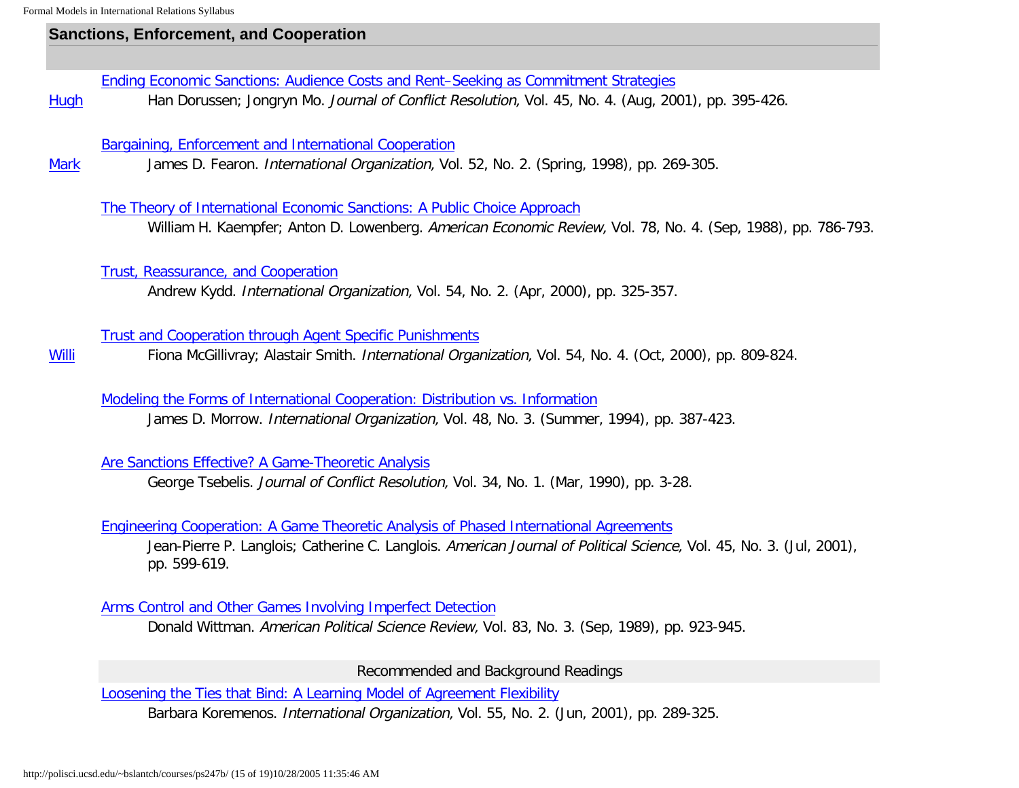**[Willi](http://polisci.ucsd.edu/~bslantch/courses/ps247b/synopses/mcgillivray-smith-agent-specific.pdf)** 

## **Sanctions, Enforcement, and Cooperation**

[Ending Economic Sanctions: Audience Costs and Rent–Seeking as Commitment Strategies](http://links.jstor.org/sici?sici=0022-0027%28200108%2945%3A4%3C395%3AEESACA%3E2.0.CO%3B2-Q)

**[Hugh](http://polisci.ucsd.edu/~bslantch/courses/ps247b/synopses/dorussen-mo-ending-sanctions.pdf)** Han Dorussen; Jongryn Mo. Journal of Conflict Resolution, Vol. 45, No. 4. (Aug, 2001), pp. 395-426.

[Bargaining, Enforcement and International Cooperation](http://links.jstor.org/sici?sici=0020-8183%28199821%2952%3A2%3C269%3ABEAIC%3E2.0.CO%3B2-9)

**[Mark](http://polisci.ucsd.edu/~bslantch/courses/ps247b/synopses/fearon-bargaining-enforcement.pdf)** James D. Fearon. International Organization, Vol. 52, No. 2. (Spring, 1998), pp. 269-305.

[The Theory of International Economic Sanctions: A Public Choice Approach](http://links.jstor.org/sici?sici=0002-8282%28198809%2978%3A4%3C786%3ATTOIES%3E2.0.CO%3B2-3)

William H. Kaempfer; Anton D. Lowenberg. American Economic Review, Vol. 78, No. 4. (Sep, 1988), pp. 786-793.

[Trust, Reassurance, and Cooperation](http://www.ingentaconnect.com/content/mitpress/io/2000/00000054/00000002/art00005)

Andrew Kydd. International Organization, Vol. 54, No. 2. (Apr, 2000), pp. 325-357.

### [Trust and Cooperation through Agent Specific Punishments](http://www.ingentaconnect.com/content/mitpress/io/2000/00000054/00000004/art00004)

Fiona McGillivray; Alastair Smith. International Organization, Vol. 54, No. 4. (Oct, 2000), pp. 809-824.

[Modeling the Forms of International Cooperation: Distribution vs. Information](http://links.jstor.org/sici?sici=0020-8183%28199422%2948%3A3%3C387%3AMTFOIC%3E2.0.CO%3B2-I)

James D. Morrow. International Organization, Vol. 48, No. 3. (Summer, 1994), pp. 387-423.

[Are Sanctions Effective? A Game-Theoretic Analysis](http://links.jstor.org/sici?sici=0022-0027%28199003%2934%3A1%3C3%3AASEAGA%3E2.0.CO%3B2-K)

George Tsebelis. Journal of Conflict Resolution, Vol. 34, No. 1. (Mar, 1990), pp. 3-28.

[Engineering Cooperation: A Game Theoretic Analysis of Phased International Agreements](http://links.jstor.org/sici?sici=0092-5853%28200107%2945%3A3%3C599%3AECAGTA%3E2.0.CO%3B2-F)

Jean-Pierre P. Langlois; Catherine C. Langlois. American Journal of Political Science, Vol. 45, No. 3. (Jul, 2001), pp. 599-619.

[Arms Control and Other Games Involving Imperfect Detection](http://links.jstor.org/sici?sici=0003-0554%28198909%2983%3A3%3C923%3AACVAOG%3E2.0.CO%3B2-C)

Donald Wittman. American Political Science Review, Vol. 83, No. 3. (Sep, 1989), pp. 923-945.

Recommended and Background Readings

[Loosening the Ties that Bind: A Learning Model of Agreement Flexibility](http://www.ingentaconnect.com/content/mitpress/io/2001/00000055/00000002/art00003)

Barbara Koremenos. International Organization, Vol. 55, No. 2. (Jun, 2001), pp. 289-325.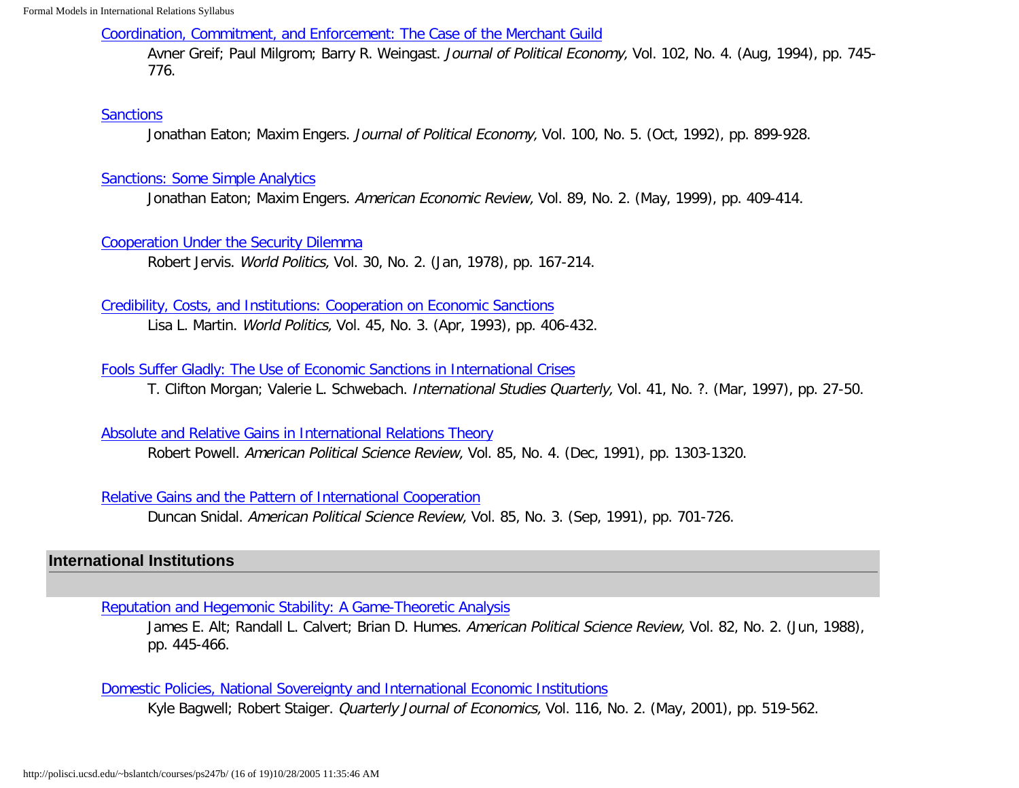[Coordination, Commitment, and Enforcement: The Case of the Merchant Guild](http://links.jstor.org/sici?sici=0022-3808%28199408%29102%3A4%3C745%3ACCAETC%3E2.0.CO%3B2-L)

Avner Greif; Paul Milgrom; Barry R. Weingast. Journal of Political Economy, Vol. 102, No. 4. (Aug, 1994), pp. 745-776.

### **[Sanctions](http://links.jstor.org/sici?sici=0022-3808%28199210%29100%3A5%3C899%3AS%3E2.0.CO%3B2-6)**

Jonathan Eaton; Maxim Engers. Journal of Political Economy, Vol. 100, No. 5. (Oct, 1992), pp. 899-928.

### [Sanctions: Some Simple Analytics](http://links.jstor.org/sici?sici=0002-8282%28199905%2989%3A2%3C409%3ASSSA%3E2.0.CO%3B2-7)

Jonathan Eaton; Maxim Engers. American Economic Review, Vol. 89, No. 2. (May, 1999), pp. 409-414.

### [Cooperation Under the Security Dilemma](http://links.jstor.org/sici?sici=0043-8871%28197801%2930%3A2%3C167%3ACUTSD%3E2.0.CO%3B2-0)

Robert Jervis. World Politics, Vol. 30, No. 2. (Jan, 1978), pp. 167-214.

### [Credibility, Costs, and Institutions: Cooperation on Economic Sanctions](http://links.jstor.org/sici?sici=0043-8871%28199304%2945%3A3%3C406%3ACCAICO%3E2.0.CO%3B2-B)

Lisa L. Martin. World Politics, Vol. 45, No. 3. (Apr, 1993), pp. 406-432.

## [Fools Suffer Gladly: The Use of Economic Sanctions in International Crises](http://links.jstor.org/sici?sici=0020-8833%28199703%2941%3A1%3C27%3AFSGTUO%3E2.0.CO%3B2-8)

T. Clifton Morgan; Valerie L. Schwebach. International Studies Quarterly, Vol. 41, No. ?. (Mar, 1997), pp. 27-50.

### [Absolute and Relative Gains in International Relations Theory](http://links.jstor.org/sici?sici=0003-0554%28199112%2985%3A4%3C1303%3AAARGII%3E2.0.CO%3B2-C)

Robert Powell. American Political Science Review, Vol. 85, No. 4. (Dec, 1991), pp. 1303-1320.

## [Relative Gains and the Pattern of International Cooperation](http://links.jstor.org/sici?sici=0003-0554%28199109%2985%3A3%3C701%3ARGATPO%3E2.0.CO%3B2-R)

Duncan Snidal. American Political Science Review, Vol. 85, No. 3. (Sep, 1991), pp. 701-726.

## <span id="page-15-0"></span>**International Institutions**

[Reputation and Hegemonic Stability: A Game-Theoretic Analysis](http://links.jstor.org/sici?sici=0003-0554%28198806%2982%3A2%3C445%3ARAHSAG%3E2.0.CO%3B2-N)

James E. Alt; Randall L. Calvert; Brian D. Humes. American Political Science Review, Vol. 82, No. 2. (Jun, 1988), pp. 445-466.

## [Domestic Policies, National Sovereignty and International Economic Institutions](http://polisci.ucsd.edu/~bslantch/courses/pdf/bagwell-qje2001v116n2.pdf)

Kyle Bagwell; Robert Staiger. *Quarterly Journal of Economics*, Vol. 116, No. 2. (May, 2001), pp. 519-562.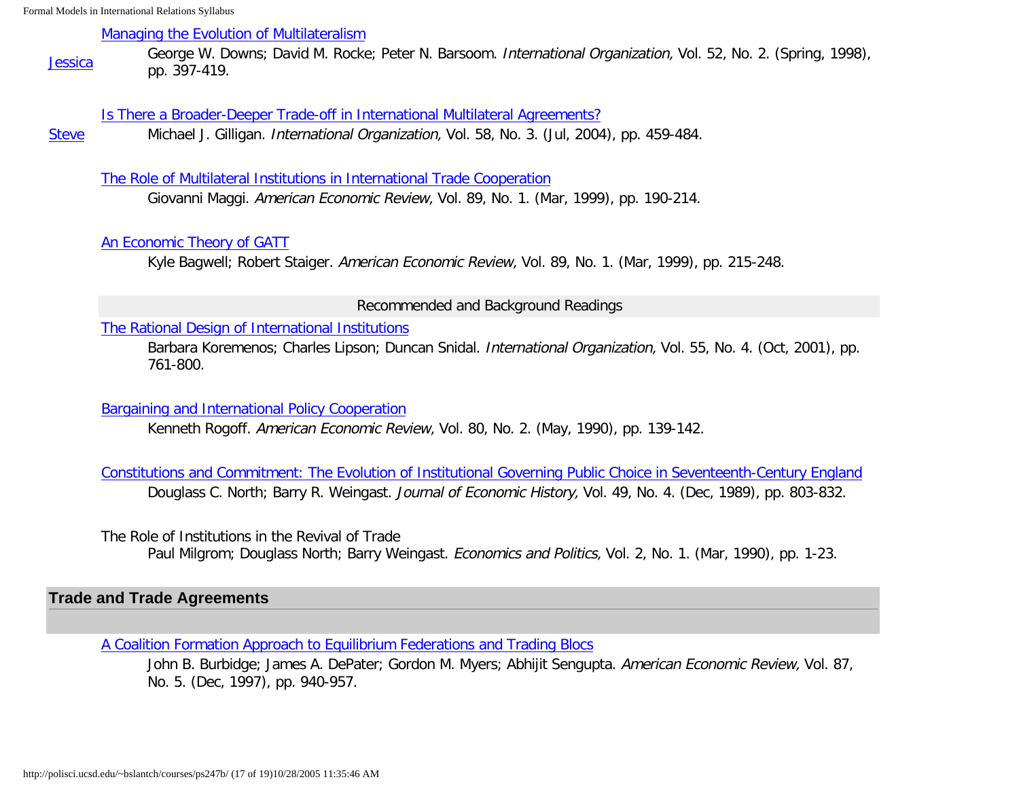### [Managing the Evolution of Multilateralism](http://links.jstor.org/sici?sici=0020-8183%28199821%2952%3A2%3C397%3AMTEOM%3E2.0.CO%3B2-O)

[Jessica](http://polisci.ucsd.edu/~bslantch/courses/ps247b/synopses/downs-et-al-multilateralism.pdf) George W. Downs; David M. Rocke; Peter N. Barsoom. International Organization, Vol. 52, No. 2. (Spring, 1998), pp. 397-419.

### [Is There a Broader-Deeper Trade-off in International Multilateral Agreements?](http://polisci.ucsd.edu/~bslantch/courses/pdf/gilligan-io2004v58n3.pdf)

**[Steve](http://polisci.ucsd.edu/~bslantch/courses/ps247b/synopses/gilligan-broader-deeper.pdf)** Michael J. Gilligan. International Organization, Vol. 58, No. 3. (Jul, 2004), pp. 459-484.

#### [The Role of Multilateral Institutions in International Trade Cooperation](http://links.jstor.org/sici?sici=0002-8282%28199903%2989%3A1%3C190%3ATROMII%3E2.0.CO%3B2-8)

Giovanni Maggi. American Economic Review, Vol. 89, No. 1. (Mar, 1999), pp. 190-214.

### [An Economic Theory of GATT](http://links.jstor.org/sici?sici=0002-8282%28199903%2989%3A1%3C215%3AAETOG%3E2.0.CO%3B2-E)

Kyle Bagwell; Robert Staiger. American Economic Review, Vol. 89, No. 1. (Mar, 1999), pp. 215-248.

#### Recommended and Background Readings

### [The Rational Design of International Institutions](http://www.ingentaconnect.com/content/mitpress/io/2001/00000055/00000004/art00001)

Barbara Koremenos; Charles Lipson; Duncan Snidal. International Organization, Vol. 55, No. 4. (Oct, 2001), pp. 761-800.

## [Bargaining and International Policy Cooperation](http://links.jstor.org/sici?sici=0002-8282%28199005%2980%3A2%3C139%3ABAIPC%3E2.0.CO%3B2-5)

Kenneth Rogoff. American Economic Review, Vol. 80, No. 2. (May, 1990), pp. 139-142.

[Constitutions and Commitment: The Evolution of Institutional Governing Public Choice in Seventeenth-Century England](http://links.jstor.org/sici?sici=0022-0507%28198912%2949%3A4%3C803%3ACACTEO%3E2.0.CO%3B2-9) Douglass C. North; Barry R. Weingast. Journal of Economic History, Vol. 49, No. 4. (Dec, 1989), pp. 803-832.

The Role of Institutions in the Revival of Trade

Paul Milgrom; Douglass North; Barry Weingast. *Economics and Politics*, Vol. 2, No. 1. (Mar, 1990), pp. 1-23.

## <span id="page-16-0"></span>**Trade and Trade Agreements**

[A Coalition Formation Approach to Equilibrium Federations and Trading Blocs](http://links.jstor.org/sici?sici=0002-8282%28199712%2987%3A5%3C940%3AACATEF%3E2.0.CO%3B2-H)

John B. Burbidge; James A. DePater; Gordon M. Myers; Abhijit Sengupta. American Economic Review, Vol. 87, No. 5. (Dec, 1997), pp. 940-957.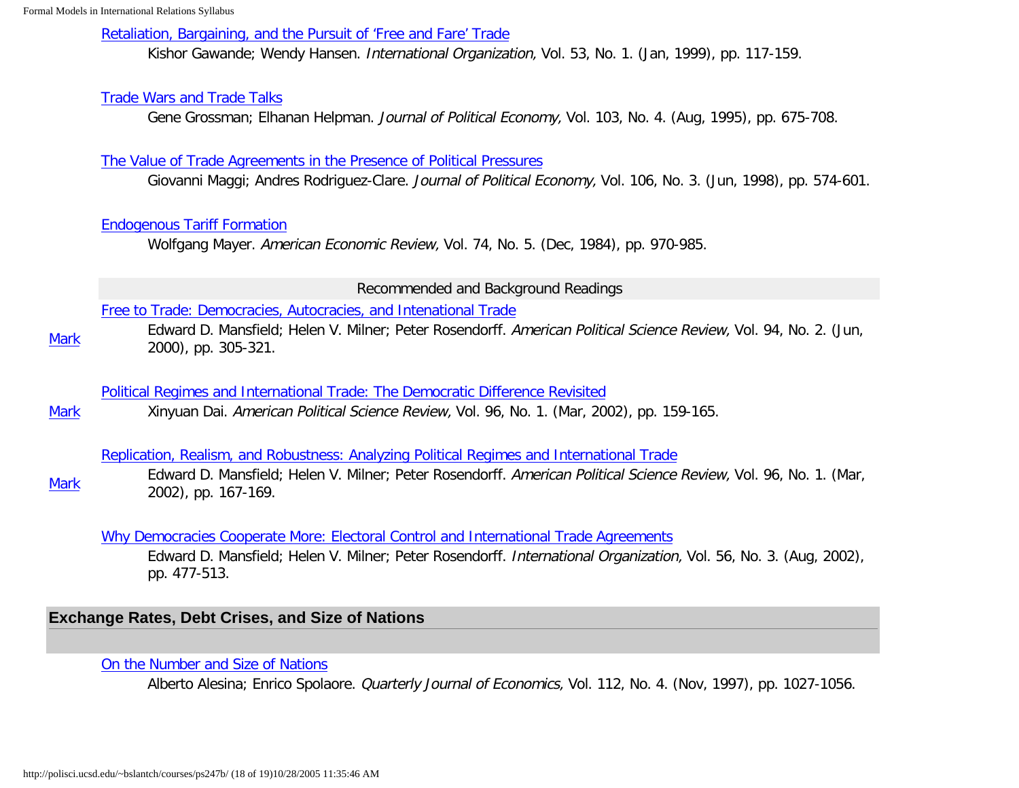### [Retaliation, Bargaining, and the Pursuit of 'Free and Fare' Trade](http://www.ingentaconnect.com/content/mitpress/io/1999/00000053/00000001/art00005)

Kishor Gawande; Wendy Hansen. International Organization, Vol. 53, No. 1. (Jan, 1999), pp. 117-159.

### [Trade Wars and Trade Talks](http://links.jstor.org/sici?sici=0022-3808%28199508%29103%3A4%3C675%3ATWATT%3E2.0.CO%3B2-T)

Gene Grossman; Elhanan Helpman. Journal of Political Economy, Vol. 103, No. 4. (Aug, 1995), pp. 675-708.

### [The Value of Trade Agreements in the Presence of Political Pressures](ttp://links.jstor.org/sici?sici=0022-3808%28199806%29106%3A3%3C574%3ATVOTAI%3E2.0.CO%3B2-Q)

Giovanni Maggi; Andres Rodriguez-Clare. Journal of Political Economy, Vol. 106, No. 3. (Jun, 1998), pp. 574-601.

### [Endogenous Tariff Formation](http://links.jstor.org/sici?sici=0002-8282%28198412%2974%3A5%3C970%3AETF%3E2.0.CO%3B2-P)

Wolfgang Mayer. American Economic Review, Vol. 74, No. 5. (Dec, 1984), pp. 970-985.

#### Recommended and Background Readings

### [Free to Trade: Democracies, Autocracies, and Intenational Trade](http://links.jstor.org/sici?sici=0003-0554%28200006%2994%3A2%3C305%3AFTTDAA%3E2.0.CO%3B2-L)

**[Mark](http://polisci.ucsd.edu/~bslantch/courses/ps247b/synopses/mansfield-et-al-free-to-trade.pdf)** Edward D. Mansfield; Helen V. Milner; Peter Rosendorff. American Political Science Review, Vol. 94, No. 2. (Jun, 2000), pp. 305-321.

### [Political Regimes and International Trade: The Democratic Difference Revisited](http://polisci.ucsd.edu/~bslantch/courses/pdf/dai-apsr2002v96n1.pdf)

**[Mark](http://polisci.ucsd.edu/~bslantch/courses/ps247b/synopses/dai-political-regimes.pdf)** Xinyuan Dai. American Political Science Review, Vol. 96, No. 1. (Mar, 2002), pp. 159-165.

### [Replication, Realism, and Robustness: Analyzing Political Regimes and International Trade](http://polisci.ucsd.edu/~bslantch/courses/pdf/mansfield-apsr2002v96n1.pdf)

[Mark](http://polisci.ucsd.edu/~bslantch/courses/ps247b/synopses/mansfield-et-al-replication.pdf) Edward D. Mansfield; Helen V. Milner; Peter Rosendorff. American Political Science Review, Vol. 96, No. 1. (Mar, 2002), pp. 167-169.

### [Why Democracies Cooperate More: Electoral Control and International Trade Agreements](http://www.ingentaconnect.com/content/mitpress/io/2002/00000056/00000003/art00001)

Edward D. Mansfield; Helen V. Milner; Peter Rosendorff. International Organization, Vol. 56, No. 3. (Aug, 2002), pp. 477-513.

## <span id="page-17-0"></span>**Exchange Rates, Debt Crises, and Size of Nations**

### [On the Number and Size of Nations](http://links.jstor.org/sici?sici=0033-5533%28199711%29112%3A4%3C1027%3AOTNASO%3E2.0.CO%3B2-O)

Alberto Alesina; Enrico Spolaore. Quarterly Journal of Economics, Vol. 112, No. 4. (Nov, 1997), pp. 1027-1056.